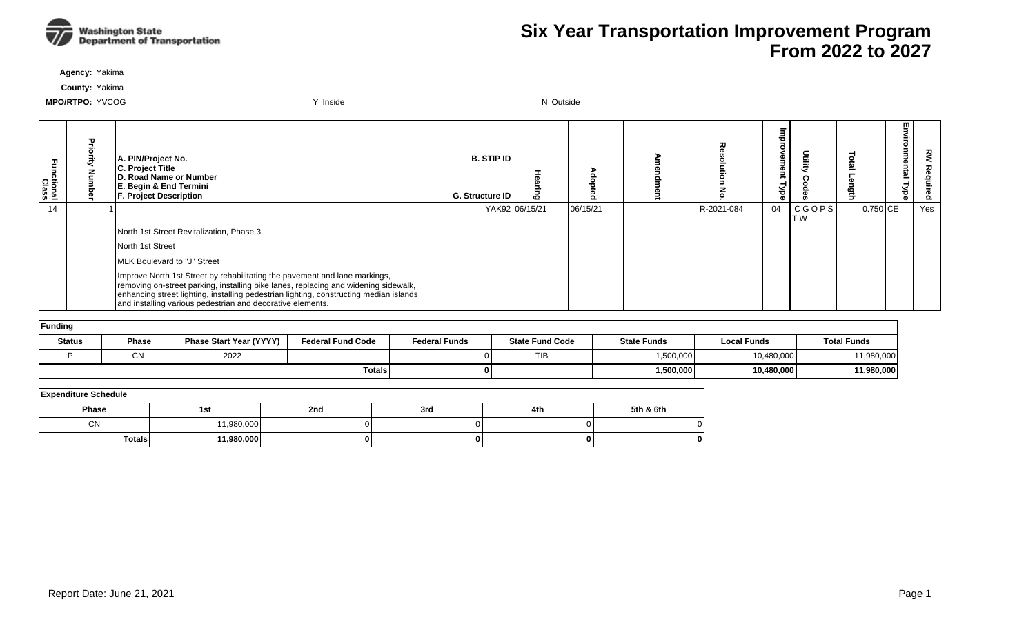

**Agency:** Yakima

**County:** Yakima

| Functional<br>Class | A. PIN/Project No.<br>C. Project Title<br>D. Road Name or Number<br>E. Begin & End Termini<br><b>F. Project Description</b>                                                                                                                                                                                               | <b>B. STIP IDI</b><br>G. Structure ID | ه              | $\Omega$ |            | g<br>Ō<br>₹<br>ᢦ |                     |            | m<br>5<br>-<br>omne<br>intal<br>ಕ | 꽁   |
|---------------------|---------------------------------------------------------------------------------------------------------------------------------------------------------------------------------------------------------------------------------------------------------------------------------------------------------------------------|---------------------------------------|----------------|----------|------------|------------------|---------------------|------------|-----------------------------------|-----|
| 14                  |                                                                                                                                                                                                                                                                                                                           |                                       | YAK92 06/15/21 | 06/15/21 | R-2021-084 | 04               | CGOPS <br><b>TW</b> | $0.750$ CE |                                   | Yes |
|                     | North 1st Street Revitalization, Phase 3                                                                                                                                                                                                                                                                                  |                                       |                |          |            |                  |                     |            |                                   |     |
|                     | North 1st Street                                                                                                                                                                                                                                                                                                          |                                       |                |          |            |                  |                     |            |                                   |     |
|                     | <b>IMLK Boulevard to "J" Street</b>                                                                                                                                                                                                                                                                                       |                                       |                |          |            |                  |                     |            |                                   |     |
|                     | Improve North 1st Street by rehabilitating the pavement and lane markings,<br>removing on-street parking, installing bike lanes, replacing and widening sidewalk,<br>enhancing street lighting, installing pedestrian lighting, constructing median islands<br>and installing various pedestrian and decorative elements. |                                       |                |          |            |                  |                     |            |                                   |     |

| Funding       |              |                                |                          |                      |                        |                    |                    |                    |  |  |  |  |
|---------------|--------------|--------------------------------|--------------------------|----------------------|------------------------|--------------------|--------------------|--------------------|--|--|--|--|
| <b>Status</b> | <b>Phase</b> | <b>Phase Start Year (YYYY)</b> | <b>Federal Fund Code</b> | <b>Federal Funds</b> | <b>State Fund Code</b> | <b>State Funds</b> | <b>Local Funds</b> | <b>Total Funds</b> |  |  |  |  |
|               | C٨           | 2022                           |                          |                      | TIB                    | 1,500,000          | 10,480,000         | 11,980,000         |  |  |  |  |
|               |              |                                | <b>Totals</b>            |                      |                        | 1,500,000          | 10,480,000         | 11,980,000         |  |  |  |  |

| <b>Expenditure Schedule</b> |            |     |     |     |           |  |  |  |  |  |  |
|-----------------------------|------------|-----|-----|-----|-----------|--|--|--|--|--|--|
| Phase                       | 1st        | 2nd | 3rd | 4th | 5th & 6th |  |  |  |  |  |  |
| <b>CN</b>                   | 1,980,000  |     |     |     | 0         |  |  |  |  |  |  |
| <b>Totals</b>               | 11,980,000 |     |     |     | 0         |  |  |  |  |  |  |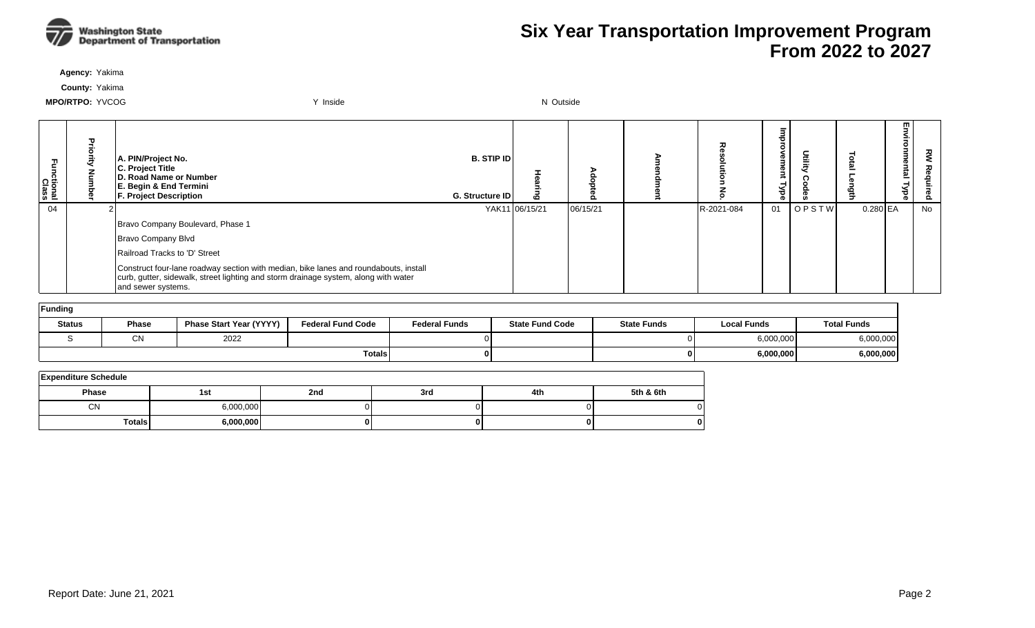

**Agency:** Yakima

**County:** Yakima

| Ξ<br>ctional<br>Class | A. PIN/Project No.<br>C. Project Title<br>D. Road Name or Number<br>E. Begin & End Termini<br><b>F. Project Description</b>                                                                       | <b>B. STIP ID</b><br>G. Structure ID | $\mathbf{c}$   |          |            | Φ<br>gu<br>≺<br>ह | Deility      |            | m<br>- | 꽁<br>௨ |
|-----------------------|---------------------------------------------------------------------------------------------------------------------------------------------------------------------------------------------------|--------------------------------------|----------------|----------|------------|-------------------|--------------|------------|--------|--------|
| 04                    |                                                                                                                                                                                                   |                                      | YAK11 06/15/21 | 06/15/21 | R-2021-084 | 01                | <b>OPSTW</b> | $0.280$ EA |        | No     |
|                       | Bravo Company Boulevard, Phase 1                                                                                                                                                                  |                                      |                |          |            |                   |              |            |        |        |
|                       | Bravo Company Blvd                                                                                                                                                                                |                                      |                |          |            |                   |              |            |        |        |
|                       | Railroad Tracks to 'D' Street                                                                                                                                                                     |                                      |                |          |            |                   |              |            |        |        |
|                       | Construct four-lane roadway section with median, bike lanes and roundabouts, install<br>curb, gutter, sidewalk, street lighting and storm drainage system, along with water<br>and sewer systems. |                                      |                |          |            |                   |              |            |        |        |

| Funding       |              |                                |                          |                      |                        |                    |                    |                    |  |  |  |  |  |
|---------------|--------------|--------------------------------|--------------------------|----------------------|------------------------|--------------------|--------------------|--------------------|--|--|--|--|--|
| <b>Status</b> | <b>Phase</b> | <b>Phase Start Year (YYYY)</b> | <b>Federal Fund Code</b> | <b>Federal Funds</b> | <b>State Fund Code</b> | <b>State Funds</b> | <b>Local Funds</b> | <b>Total Funds</b> |  |  |  |  |  |
|               | $\sim$<br>◡ᡰ | 2022                           |                          |                      |                        | ΩI                 | 6,000,000          | 3,000,000          |  |  |  |  |  |
|               |              |                                | Totals                   |                      |                        | ΟI                 | 6,000,000          | 000,000,6          |  |  |  |  |  |

| <b>Expenditure Schedule</b> |           |     |     |     |           |  |  |  |  |  |  |  |
|-----------------------------|-----------|-----|-----|-----|-----------|--|--|--|--|--|--|--|
| <b>Phase</b>                | 1st       | 2nd | 3rd | 4th | 5th & 6th |  |  |  |  |  |  |  |
| <b>CN</b>                   | 6,000,000 |     |     |     |           |  |  |  |  |  |  |  |
| <b>Totals</b>               | 6,000,000 |     |     |     |           |  |  |  |  |  |  |  |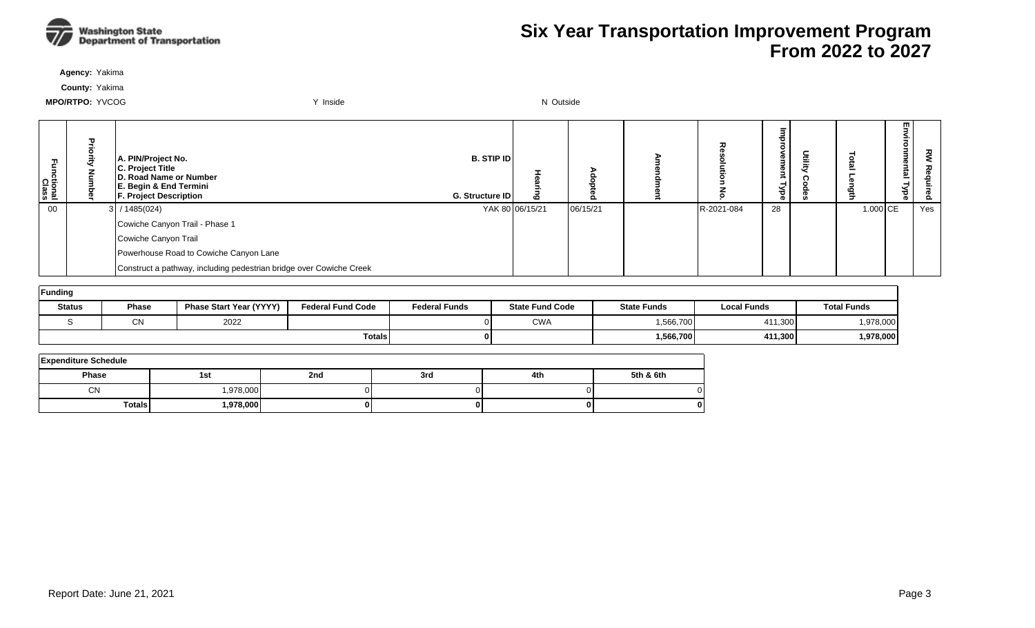

**Agency:** Yakima

**County:** Yakima

| ctional<br>Class | 골<br>ā | A. PIN/Project No.<br>C. Project Title<br>D. Road Name or Number<br>E. Begin & End Termini<br><b>F. Project Description</b> | <b>B. STIP ID</b><br>G. Structure ID | ه               | o        | ᆽ          | œ<br>$\checkmark$<br>ಕ<br>æ | 들 | 록          | 5<br>onmental<br><b>Type</b> | ਟ੍ਰੋ<br>ء<br>Ö. |
|------------------|--------|-----------------------------------------------------------------------------------------------------------------------------|--------------------------------------|-----------------|----------|------------|-----------------------------|---|------------|------------------------------|-----------------|
| 00               |        | $3$ / 1485(024)                                                                                                             |                                      | YAK 80 06/15/21 | 06/15/21 | R-2021-084 | 28                          |   | $1.000$ CE |                              | Yes             |
|                  |        | Cowiche Canyon Trail - Phase 1                                                                                              |                                      |                 |          |            |                             |   |            |                              |                 |
|                  |        | Cowiche Canyon Trail                                                                                                        |                                      |                 |          |            |                             |   |            |                              |                 |
|                  |        | Powerhouse Road to Cowiche Canyon Lane                                                                                      |                                      |                 |          |            |                             |   |            |                              |                 |
|                  |        | Construct a pathway, including pedestrian bridge over Cowiche Creek                                                         |                                      |                 |          |            |                             |   |            |                              |                 |

| Funding       |               |                                |                          |                      |                        |                    |                    |                    |  |  |  |
|---------------|---------------|--------------------------------|--------------------------|----------------------|------------------------|--------------------|--------------------|--------------------|--|--|--|
| <b>Status</b> | <b>Phase</b>  | <b>Phase Start Year (YYYY)</b> | <b>Federal Fund Code</b> | <b>Federal Funds</b> | <b>State Fund Code</b> | <b>State Funds</b> | <b>Local Funds</b> | <b>Total Funds</b> |  |  |  |
|               | $\sim$<br>◡∣◥ | 2022                           |                          |                      | <b>CWA</b>             | .566,700           | 411,300            | 1,978,000          |  |  |  |
|               |               |                                | <b>Totals</b>            |                      |                        | 1,566,700          | 411,300            | 1,978,000          |  |  |  |

| <b>Expenditure Schedule</b> |           |     |     |     |           |  |  |  |  |  |  |
|-----------------------------|-----------|-----|-----|-----|-----------|--|--|--|--|--|--|
| Phase                       | 1st       | 2nd | 3rd | 4th | 5th & 6th |  |  |  |  |  |  |
| <b>CN</b>                   | ,978,000  |     |     |     |           |  |  |  |  |  |  |
| <b>Totals</b>               | 1,978,000 |     |     |     |           |  |  |  |  |  |  |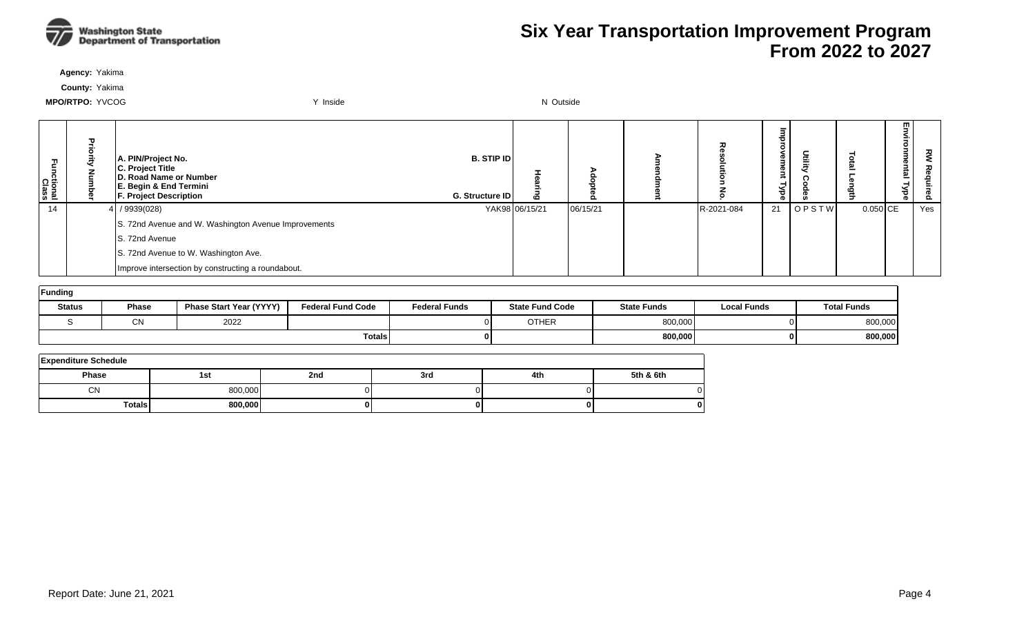

**Agency:** Yakima

**County:** Yakima

| Ę<br>ctional<br>Class | Pric | A. PIN/Project No.<br>C. Project Title<br>D. Road Name or Number<br>E. Begin & End Termini<br>F. Project Description | <b>B. STIP ID</b><br>G. Structure ID | 10             | o        | ᆽ          | P<br>œ<br>≺<br>ರ<br>o. |       | ≘          | w.<br>µtal<br>⊣<br>ᇹ<br>ō | 꼰<br>ဥ |
|-----------------------|------|----------------------------------------------------------------------------------------------------------------------|--------------------------------------|----------------|----------|------------|------------------------|-------|------------|---------------------------|--------|
| 14                    |      | $4$ / 9939(028)                                                                                                      |                                      | YAK98 06/15/21 | 06/15/21 | R-2021-084 | 21                     | OPSTW | $0.050$ CE |                           | Yes    |
|                       |      | S. 72nd Avenue and W. Washington Avenue Improvements                                                                 |                                      |                |          |            |                        |       |            |                           |        |
|                       |      | S. 72nd Avenue                                                                                                       |                                      |                |          |            |                        |       |            |                           |        |
|                       |      | S. 72nd Avenue to W. Washington Ave.                                                                                 |                                      |                |          |            |                        |       |            |                           |        |
|                       |      | Improve intersection by constructing a roundabout.                                                                   |                                      |                |          |            |                        |       |            |                           |        |

| Funding       |                  |                                |                          |                      |                        |                    |                    |                    |  |  |  |
|---------------|------------------|--------------------------------|--------------------------|----------------------|------------------------|--------------------|--------------------|--------------------|--|--|--|
| <b>Status</b> | <b>Phase</b>     | <b>Phase Start Year (YYYY)</b> | <b>Federal Fund Code</b> | <b>Federal Funds</b> | <b>State Fund Code</b> | <b>State Funds</b> | <b>Local Funds</b> | <b>Total Funds</b> |  |  |  |
|               | $\bigcap$<br>יוש | 2022                           |                          |                      | <b>OTHER</b>           | 800,000            |                    | 800,000            |  |  |  |
|               |                  |                                | <b>Totals</b>            |                      |                        | 800,000            |                    | 800,000            |  |  |  |

| <b>Expenditure Schedule</b> |         |     |     |     |           |  |  |  |  |  |  |
|-----------------------------|---------|-----|-----|-----|-----------|--|--|--|--|--|--|
| <b>Phase</b>                | 1st     | 2nd | 3rd | 4th | 5th & 6th |  |  |  |  |  |  |
| <b>CN</b>                   | 800,000 |     |     |     |           |  |  |  |  |  |  |
| <b>Totals</b>               | 800,000 |     |     |     |           |  |  |  |  |  |  |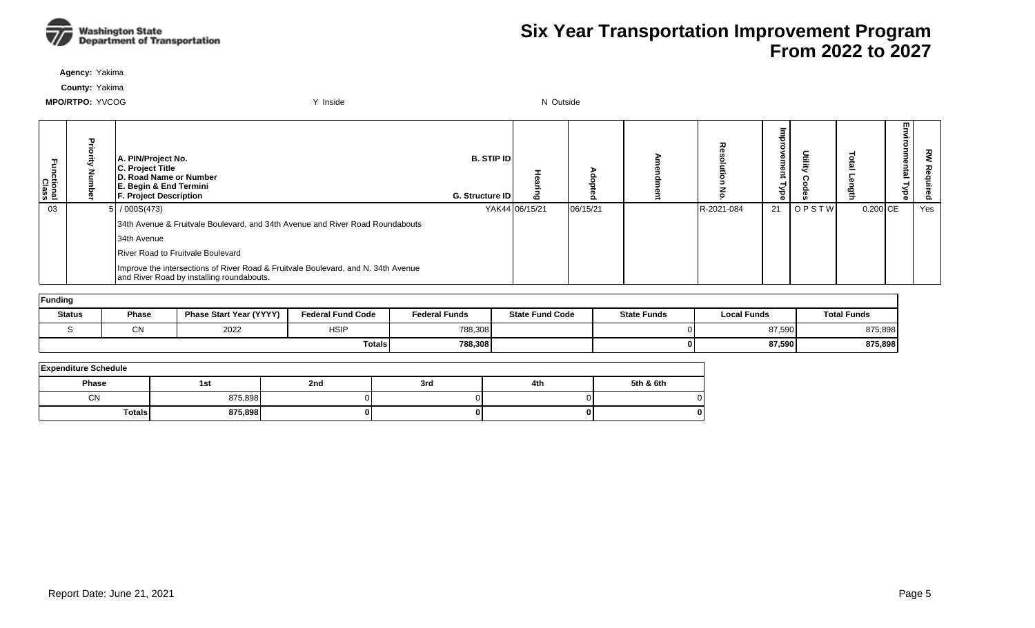

**Agency:** Yakima

**County:** Yakima

| Fa<br>S<br>ctional<br>Class | A. PIN/Project No.<br>C. Project Title<br>D. Road Name or Number<br>E. Begin & End Termini<br><b>F. Project Description</b>    | <b>B. STIP IDI</b><br><b>G. Structure IDI</b> |                | $\bullet$ | ᆽ          | œ<br>ಕ<br>Φ |              |            | m<br>µtal | 꼰<br>ဥ |
|-----------------------------|--------------------------------------------------------------------------------------------------------------------------------|-----------------------------------------------|----------------|-----------|------------|-------------|--------------|------------|-----------|--------|
| 03                          | 5/000S(473)                                                                                                                    |                                               | YAK44 06/15/21 | 06/15/21  | R-2021-084 | 21          | <b>OPSTW</b> | $0.200$ CE |           | Yes    |
|                             | 34th Avenue & Fruitvale Boulevard, and 34th Avenue and River Road Roundabouts                                                  |                                               |                |           |            |             |              |            |           |        |
|                             | 34th Avenue                                                                                                                    |                                               |                |           |            |             |              |            |           |        |
|                             | River Road to Fruitvale Boulevard                                                                                              |                                               |                |           |            |             |              |            |           |        |
|                             | Improve the intersections of River Road & Fruitvale Boulevard, and N. 34th Avenue<br>and River Road by installing roundabouts. |                                               |                |           |            |             |              |            |           |        |

| Funding       |              |                                |                          |                      |                        |                    |                    |                    |  |  |  |  |
|---------------|--------------|--------------------------------|--------------------------|----------------------|------------------------|--------------------|--------------------|--------------------|--|--|--|--|
| <b>Status</b> | <b>Phase</b> | <b>Phase Start Year (YYYY)</b> | <b>Federal Fund Code</b> | <b>Federal Funds</b> | <b>State Fund Code</b> | <b>State Funds</b> | <b>Local Funds</b> | <b>Total Funds</b> |  |  |  |  |
|               | СN           | 2022                           | <b>HSIP</b>              | 788,308              |                        |                    | 87,590             | 875,898            |  |  |  |  |
|               |              |                                | <b>Totals</b>            | 788,308              |                        |                    | 87,590             | 875,898            |  |  |  |  |

| <b>Expenditure Schedule</b> |         |     |     |     |           |  |  |  |  |  |  |  |
|-----------------------------|---------|-----|-----|-----|-----------|--|--|--|--|--|--|--|
| <b>Phase</b>                | 1st     | 2nd | 3rd | 4th | 5th & 6th |  |  |  |  |  |  |  |
| <b>CN</b>                   | 875,898 |     |     |     |           |  |  |  |  |  |  |  |
| <b>Totals</b>               | 875,898 |     |     |     | 0         |  |  |  |  |  |  |  |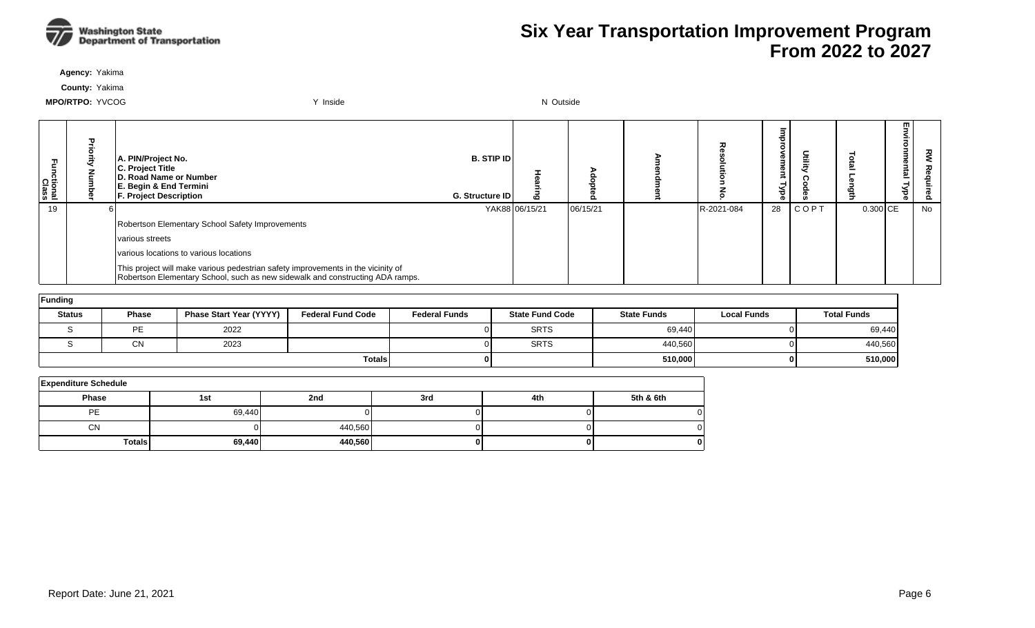

**Agency:** Yakima

**County:** Yakima

| ctional<br>Class | 꽃 | A. PIN/Project No.<br>C. Project Title<br>D. Road Name or Number<br>E. Begin & End Termini<br><b>F. Project Description</b>                                       | <b>B. STIP IDI</b><br><b>G. Structure IDI</b> |                | $\mathbf{\sigma}$ |            | <b>D</b><br>P<br>ಕ<br>ൈ |             |            | m<br><u>한</u> | ᅎ<br><u>&amp;</u> |
|------------------|---|-------------------------------------------------------------------------------------------------------------------------------------------------------------------|-----------------------------------------------|----------------|-------------------|------------|-------------------------|-------------|------------|---------------|-------------------|
| 19               |   |                                                                                                                                                                   |                                               | YAK88 06/15/21 | 06/15/21          | R-2021-084 | 28                      | <b>COPT</b> | $0.300$ CE |               | No                |
|                  |   | Robertson Elementary School Safety Improvements                                                                                                                   |                                               |                |                   |            |                         |             |            |               |                   |
|                  |   | various streets                                                                                                                                                   |                                               |                |                   |            |                         |             |            |               |                   |
|                  |   | various locations to various locations                                                                                                                            |                                               |                |                   |            |                         |             |            |               |                   |
|                  |   | This project will make various pedestrian safety improvements in the vicinity of<br>Robertson Elementary School, such as new sidewalk and constructing ADA ramps. |                                               |                |                   |            |                         |             |            |               |                   |

| Funding       |              |                                |                          |                      |                        |                    |                    |                    |  |  |  |  |  |
|---------------|--------------|--------------------------------|--------------------------|----------------------|------------------------|--------------------|--------------------|--------------------|--|--|--|--|--|
| <b>Status</b> | <b>Phase</b> | <b>Phase Start Year (YYYY)</b> | <b>Federal Fund Code</b> | <b>Federal Funds</b> | <b>State Fund Code</b> | <b>State Funds</b> | <b>Local Funds</b> | <b>Total Funds</b> |  |  |  |  |  |
|               | PE           | 2022                           |                          |                      | <b>SRTS</b>            | 69,440             |                    | 69,440             |  |  |  |  |  |
|               | CN           | 2023                           |                          |                      | <b>SRTS</b>            | 440,560            |                    | 440,560            |  |  |  |  |  |
|               |              |                                | <b>Totals</b>            |                      |                        | 510,000            |                    | 510,000            |  |  |  |  |  |

| <b>Expenditure Schedule</b> |        |         |     |     |           |  |  |  |  |  |  |
|-----------------------------|--------|---------|-----|-----|-----------|--|--|--|--|--|--|
| <b>Phase</b>                | 1st    | 2nd     | 3rd | 4th | 5th & 6th |  |  |  |  |  |  |
| PE                          | 69,440 |         |     |     |           |  |  |  |  |  |  |
| <b>CN</b>                   |        | 440,560 |     |     |           |  |  |  |  |  |  |
| Totals,                     | 69,440 | 440,560 |     |     |           |  |  |  |  |  |  |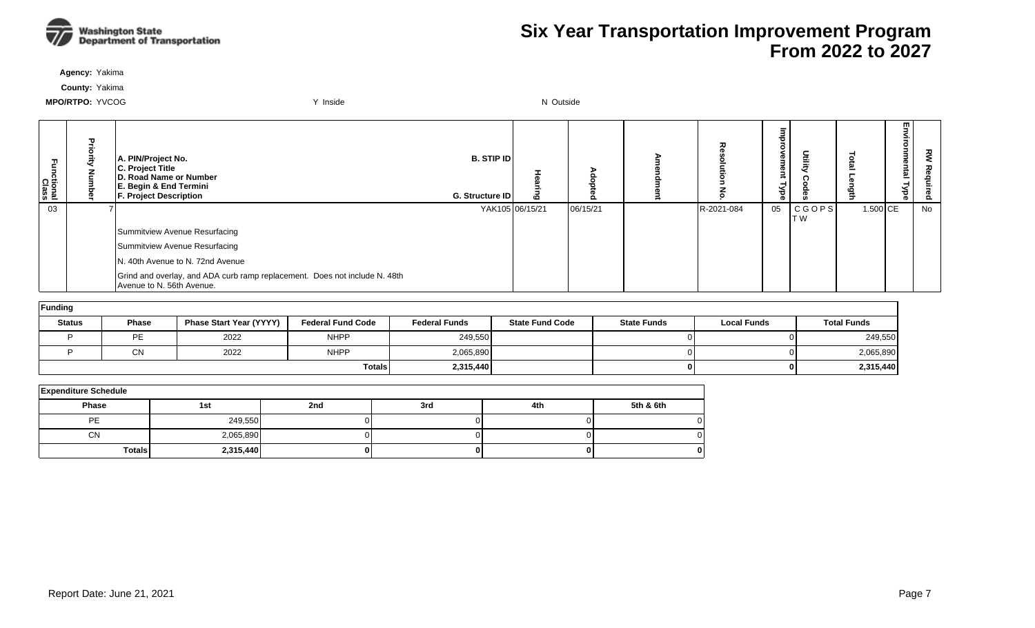

**Agency:** Yakima

**County:** Yakima

| unctional<br>Class | A. PIN/Project No.<br>C. Project Title<br>D. Road Name or Number<br>E. Begin & End Termini<br><b>F. Project Description</b> | B. STIP ID<br>G. Structure ID | $\boldsymbol{\omega}$ |          |            | 릉<br>°<br><b>rement</b><br><b>Lybe</b> | Ē                   |          | 쯰<br>ental<br><b>Lype</b> | ᇰ  |
|--------------------|-----------------------------------------------------------------------------------------------------------------------------|-------------------------------|-----------------------|----------|------------|----------------------------------------|---------------------|----------|---------------------------|----|
| 03                 |                                                                                                                             | YAK105 06/15/21               |                       | 06/15/21 | R-2021-084 | 05                                     | <b>CGOPS</b><br>T W | 1.500 CE |                           | No |
|                    | Summitview Avenue Resurfacing                                                                                               |                               |                       |          |            |                                        |                     |          |                           |    |
|                    | Summitview Avenue Resurfacing                                                                                               |                               |                       |          |            |                                        |                     |          |                           |    |
|                    | N. 40th Avenue to N. 72nd Avenue                                                                                            |                               |                       |          |            |                                        |                     |          |                           |    |
|                    | Grind and overlay, and ADA curb ramp replacement. Does not include N. 48th<br>Avenue to N. 56th Avenue.                     |                               |                       |          |            |                                        |                     |          |                           |    |
|                    |                                                                                                                             |                               |                       |          |            |                                        |                     |          |                           |    |

| Funding       |              |                         |                          |                      |                        |                    |                    |                    |  |  |  |  |
|---------------|--------------|-------------------------|--------------------------|----------------------|------------------------|--------------------|--------------------|--------------------|--|--|--|--|
| <b>Status</b> | <b>Phase</b> | Phase Start Year (YYYY) | <b>Federal Fund Code</b> | <b>Federal Funds</b> | <b>State Fund Code</b> | <b>State Funds</b> | <b>Local Funds</b> | <b>Total Funds</b> |  |  |  |  |
|               | PE           | 2022                    | <b>NHPP</b>              | 249,550              |                        |                    |                    | 249,550            |  |  |  |  |
|               | СN           | 2022                    | <b>NHPP</b>              | 2,065,890            |                        |                    |                    | 2,065,890          |  |  |  |  |
|               |              |                         | <b>Totals</b>            | 2,315,440            |                        |                    |                    | 2,315,440          |  |  |  |  |

| <b>Expenditure Schedule</b> |           |     |     |     |           |  |  |  |  |  |  |
|-----------------------------|-----------|-----|-----|-----|-----------|--|--|--|--|--|--|
| Phase                       | 1st       | 2nd | 3rd | 4th | 5th & 6th |  |  |  |  |  |  |
| <b>PE</b>                   | 249,550   |     |     |     |           |  |  |  |  |  |  |
| <b>CN</b>                   | 2,065,890 |     |     |     |           |  |  |  |  |  |  |
| <b>Totals</b>               | 2,315,440 | ΩI  | 01  |     |           |  |  |  |  |  |  |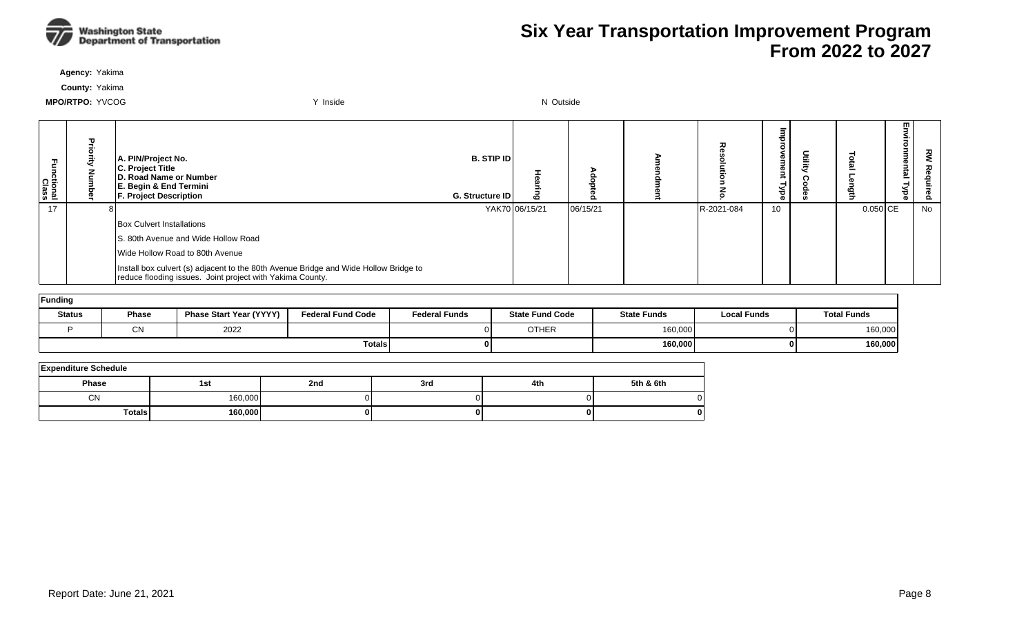

**Agency:** Yakima

**County:** Yakima

| Functional<br>Class | A. PIN/Project No.<br>C. Project Title<br>D. Road Name or Number<br>E. Begin & End Termini<br><b>F. Project Description</b>                       | <b>B. STIP IDI</b><br><b>G. Structure IDI</b> |                |          | ᆽ          | œ<br>መ<br>≺<br>70<br>® |          | 罒<br>µtal | š<br>ó. |
|---------------------|---------------------------------------------------------------------------------------------------------------------------------------------------|-----------------------------------------------|----------------|----------|------------|------------------------|----------|-----------|---------|
| 17                  |                                                                                                                                                   |                                               | YAK70 06/15/21 | 06/15/21 | R-2021-084 | 10                     | 0.050 CE |           | No      |
|                     | Box Culvert Installations                                                                                                                         |                                               |                |          |            |                        |          |           |         |
|                     | S. 80th Avenue and Wide Hollow Road                                                                                                               |                                               |                |          |            |                        |          |           |         |
|                     | Wide Hollow Road to 80th Avenue                                                                                                                   |                                               |                |          |            |                        |          |           |         |
|                     | Install box culvert (s) adjacent to the 80th Avenue Bridge and Wide Hollow Bridge to<br>reduce flooding issues. Joint project with Yakima County. |                                               |                |          |            |                        |          |           |         |

| Funding       |              |                                |                          |                      |                        |                    |                    |                    |  |  |  |  |  |
|---------------|--------------|--------------------------------|--------------------------|----------------------|------------------------|--------------------|--------------------|--------------------|--|--|--|--|--|
| <b>Status</b> | <b>Phase</b> | <b>Phase Start Year (YYYY)</b> | <b>Federal Fund Code</b> | <b>Federal Funds</b> | <b>State Fund Code</b> | <b>State Funds</b> | <b>Local Funds</b> | <b>Total Funds</b> |  |  |  |  |  |
|               | ៱៶<br>◡◝     | 2022                           |                          |                      | <b>OTHER</b>           | 160,000            | ΩL                 | 160,000            |  |  |  |  |  |
|               |              |                                | <b>Totals</b>            |                      |                        | 160,000            | ΩL                 | 160,000            |  |  |  |  |  |

| <b>Expenditure Schedule</b> |         |     |     |     |           |  |  |  |  |  |  |  |
|-----------------------------|---------|-----|-----|-----|-----------|--|--|--|--|--|--|--|
| Phase                       | 1st     | 2nd | 3rd | 4th | 5th & 6th |  |  |  |  |  |  |  |
| <b>CN</b>                   | 160,000 |     |     |     |           |  |  |  |  |  |  |  |
| <b>Totals</b>               | 160,000 |     |     |     | 01        |  |  |  |  |  |  |  |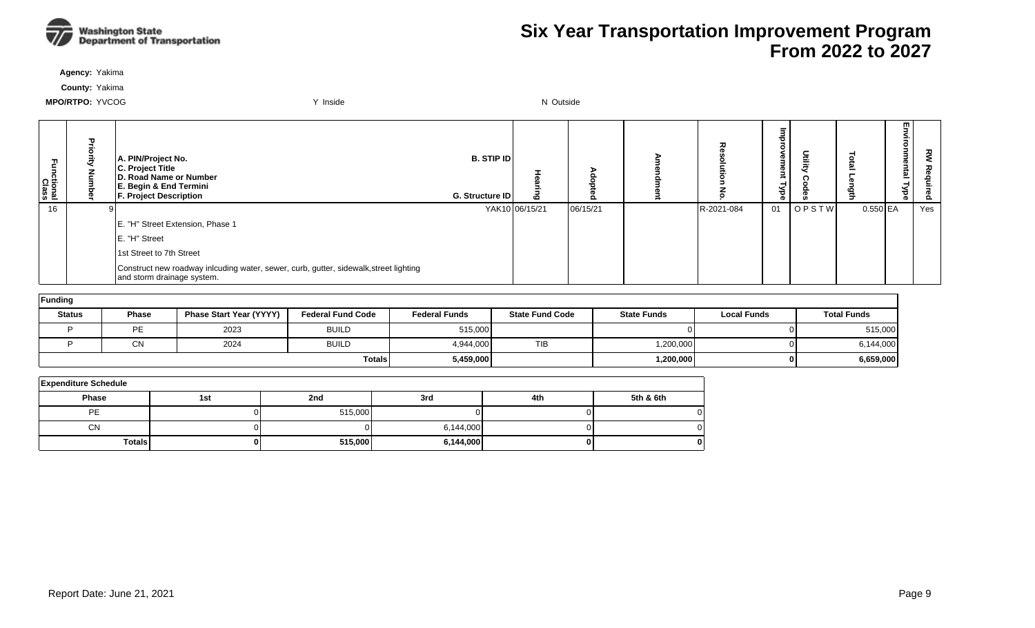

**Agency:** Yakima

**County:** Yakima

| Functional<br>Class | A. PIN/Project No.<br>C. Project Title<br>D. Road Name or Number<br>E. Begin & End Termini<br><b>F. Project Description</b> | <b>B. STIP ID</b><br>G. Structure ID | ه              |          | ᅐ          | <b>D</b><br>Φ<br>≫<br>ak | utilit) |            | m<br>-<br>≌ | ᅍ<br>Õ. |
|---------------------|-----------------------------------------------------------------------------------------------------------------------------|--------------------------------------|----------------|----------|------------|--------------------------|---------|------------|-------------|---------|
| 16                  |                                                                                                                             |                                      | YAK10 06/15/21 | 06/15/21 | R-2021-084 | 01                       | OPSTW   | $0.550$ EA |             | Yes     |
|                     | E. "H" Street Extension, Phase 1                                                                                            |                                      |                |          |            |                          |         |            |             |         |
|                     | E. "H" Street                                                                                                               |                                      |                |          |            |                          |         |            |             |         |
|                     | 1st Street to 7th Street                                                                                                    |                                      |                |          |            |                          |         |            |             |         |
|                     | Construct new roadway inlcuding water, sewer, curb, gutter, sidewalk, street lighting<br>and storm drainage system.         |                                      |                |          |            |                          |         |            |             |         |

| Funding       |              |                                |                          |                      |                        |                    |                    |                    |  |  |  |  |  |
|---------------|--------------|--------------------------------|--------------------------|----------------------|------------------------|--------------------|--------------------|--------------------|--|--|--|--|--|
| <b>Status</b> | <b>Phase</b> | <b>Phase Start Year (YYYY)</b> | <b>Federal Fund Code</b> | <b>Federal Funds</b> | <b>State Fund Code</b> | <b>State Funds</b> | <b>Local Funds</b> | <b>Total Funds</b> |  |  |  |  |  |
|               | <b>PE</b>    | 2023                           | <b>BUILD</b>             | 515,000              |                        |                    | 01                 | 515,000            |  |  |  |  |  |
|               | CN           | 2024                           | <b>BUILD</b>             | 4,944,000            | <b>TIB</b>             | 1,200,000          | ΩL                 | 6,144,000          |  |  |  |  |  |
|               |              |                                | <b>Totals</b>            | 5,459,000            |                        | 1,200,000          | 01                 | 6,659,000          |  |  |  |  |  |

| <b>Expenditure Schedule</b> |     |         |           |     |           |  |  |  |  |  |  |  |
|-----------------------------|-----|---------|-----------|-----|-----------|--|--|--|--|--|--|--|
| <b>Phase</b>                | 1st | 2nd     | 3rd       | 4th | 5th & 6th |  |  |  |  |  |  |  |
| PE                          |     | 515,000 |           |     |           |  |  |  |  |  |  |  |
| <b>CN</b>                   |     |         | 6,144,000 |     |           |  |  |  |  |  |  |  |
| <b>Totals</b>               |     | 515,000 | 6,144,000 |     | o         |  |  |  |  |  |  |  |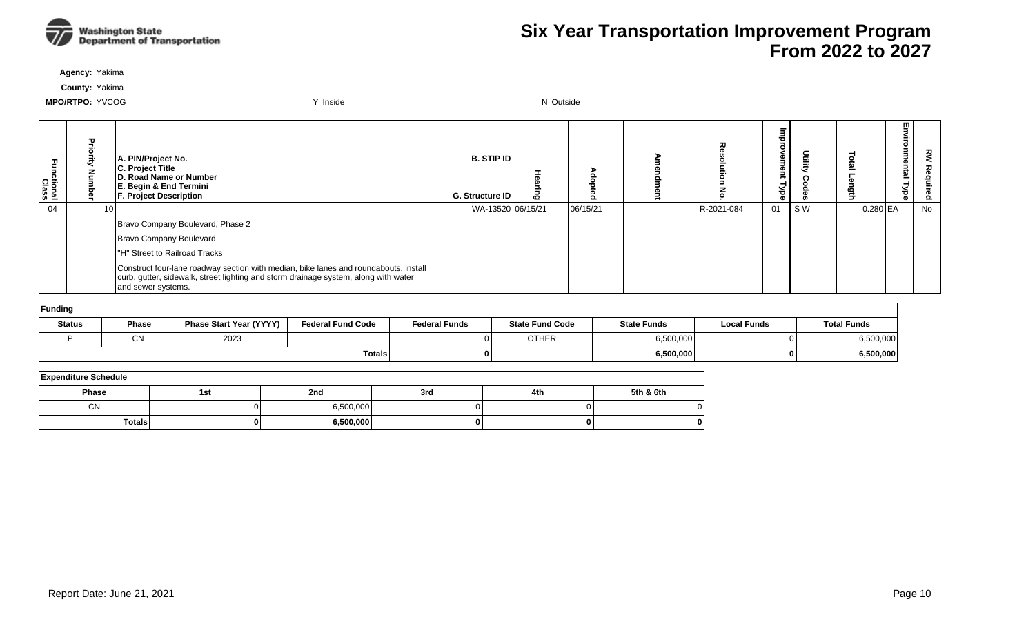

**Agency:** Yakima

**County:** Yakima

| ctional<br>Class |                 | A. PIN/Project No.<br>C. Project Title<br>D. Road Name or Number<br>E. Begin & End Termini<br><b>F. Project Description</b>                                                                       | <b>B. STIP ID</b><br><b>G. Structure IDI</b> | Ю |          |            | Φ<br>Φ<br>₹<br>Уре | Utility |            | m<br>= | 꼰<br>Ö. |
|------------------|-----------------|---------------------------------------------------------------------------------------------------------------------------------------------------------------------------------------------------|----------------------------------------------|---|----------|------------|--------------------|---------|------------|--------|---------|
| 04               | 10 <sub>1</sub> |                                                                                                                                                                                                   | WA-13520 06/15/21                            |   | 06/15/21 | R-2021-084 | 01                 | SW      | $0.280$ EA |        | No      |
|                  |                 | Bravo Company Boulevard, Phase 2                                                                                                                                                                  |                                              |   |          |            |                    |         |            |        |         |
|                  |                 | Bravo Company Boulevard                                                                                                                                                                           |                                              |   |          |            |                    |         |            |        |         |
|                  |                 | "H" Street to Railroad Tracks                                                                                                                                                                     |                                              |   |          |            |                    |         |            |        |         |
|                  |                 | Construct four-lane roadway section with median, bike lanes and roundabouts, install<br>curb, gutter, sidewalk, street lighting and storm drainage system, along with water<br>and sewer systems. |                                              |   |          |            |                    |         |            |        |         |

| Funding       |              |                                |                          |                      |                        |                    |                    |                    |  |  |  |  |  |
|---------------|--------------|--------------------------------|--------------------------|----------------------|------------------------|--------------------|--------------------|--------------------|--|--|--|--|--|
| <b>Status</b> | <b>Phase</b> | <b>Phase Start Year (YYYY)</b> | <b>Federal Fund Code</b> | <b>Federal Funds</b> | <b>State Fund Code</b> | <b>State Funds</b> | <b>Local Funds</b> | <b>Total Funds</b> |  |  |  |  |  |
|               | $\sim$<br>יש | 2023                           |                          |                      | <b>OTHER</b>           | 6,500,000          |                    | 6,500,000          |  |  |  |  |  |
|               |              |                                | <b>Totals</b>            |                      |                        | 6,500,000          |                    | 6,500,000          |  |  |  |  |  |

| <b>Expenditure Schedule</b> |     |           |     |     |           |  |  |  |  |  |  |
|-----------------------------|-----|-----------|-----|-----|-----------|--|--|--|--|--|--|
| <b>Phase</b>                | 1st | 2nd       | 3rd | 4th | 5th & 6th |  |  |  |  |  |  |
| <b>CN</b>                   |     | 6.500.000 |     |     |           |  |  |  |  |  |  |
| <b>Totals</b>               |     | 6,500,000 |     |     | 0         |  |  |  |  |  |  |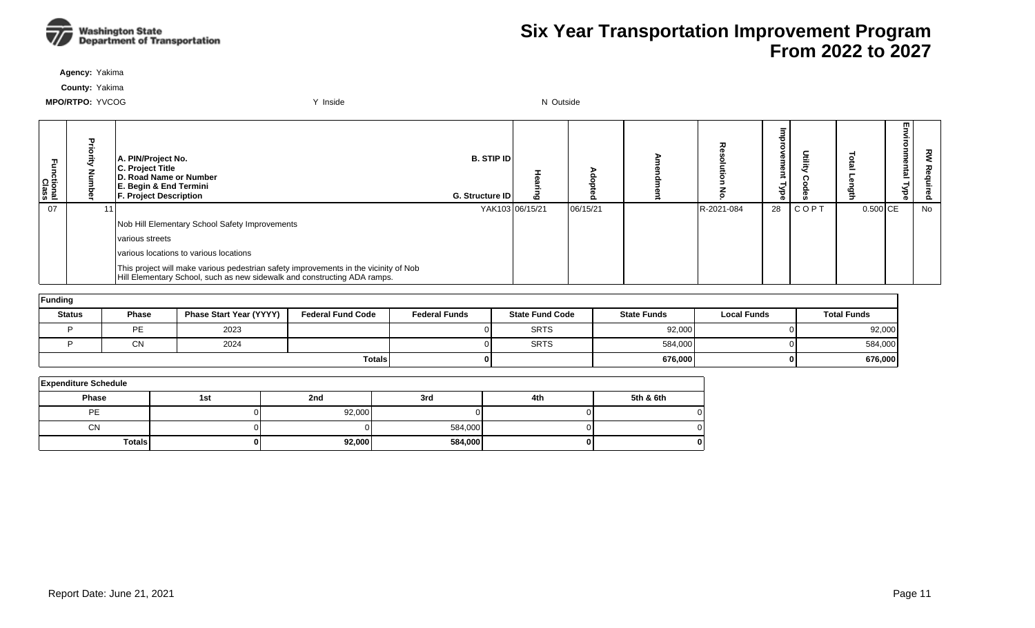

**Agency:** Yakima

**County:** Yakima

| Fa<br>E<br>hctional<br>Class | A. PIN/Project No.<br>C. Project Title<br>D. Road Name or Number<br>E. Begin & End Termini<br><b>F. Project Description</b>                                      | <b>B. STIP IDI</b><br><b>G. Structure IDI</b> | 6               |          |            | ⇁<br>ത<br>ಕ | <u>اأَتَ</u> ا |            | En<br>₹.<br>onmental<br>Type | z<br>Ś<br>௨ |
|------------------------------|------------------------------------------------------------------------------------------------------------------------------------------------------------------|-----------------------------------------------|-----------------|----------|------------|-------------|----------------|------------|------------------------------|-------------|
| 07                           |                                                                                                                                                                  |                                               | YAK103 06/15/21 | 06/15/21 | R-2021-084 | 28          | <b>COPT</b>    | $0.500$ CE |                              | No          |
|                              | Nob Hill Elementary School Safety Improvements                                                                                                                   |                                               |                 |          |            |             |                |            |                              |             |
|                              | Ivarious streets                                                                                                                                                 |                                               |                 |          |            |             |                |            |                              |             |
|                              | various locations to various locations                                                                                                                           |                                               |                 |          |            |             |                |            |                              |             |
|                              | This project will make various pedestrian safety improvements in the vicinity of Nob<br>Hill Elementary School, such as new sidewalk and constructing ADA ramps. |                                               |                 |          |            |             |                |            |                              |             |

| Funding       |              |                                |                          |                      |                        |                    |                    |                    |  |  |  |  |  |
|---------------|--------------|--------------------------------|--------------------------|----------------------|------------------------|--------------------|--------------------|--------------------|--|--|--|--|--|
| <b>Status</b> | <b>Phase</b> | <b>Phase Start Year (YYYY)</b> | <b>Federal Fund Code</b> | <b>Federal Funds</b> | <b>State Fund Code</b> | <b>State Funds</b> | <b>Local Funds</b> | <b>Total Funds</b> |  |  |  |  |  |
|               | <b>PE</b>    | 2023                           |                          |                      | <b>SRTS</b>            | 92,000             | ΩI                 | 92,000             |  |  |  |  |  |
|               | <b>CN</b>    | 2024                           |                          |                      | <b>SRTS</b>            | 584,000            | ΩI                 | 584,000            |  |  |  |  |  |
|               |              |                                | <b>Totals</b>            |                      |                        | 676,000            | 01                 | 676,000            |  |  |  |  |  |

| <b>Expenditure Schedule</b> |     |        |         |     |           |  |  |  |  |  |  |  |
|-----------------------------|-----|--------|---------|-----|-----------|--|--|--|--|--|--|--|
| <b>Phase</b>                | 1st | 2nd    | 3rd     | 4th | 5th & 6th |  |  |  |  |  |  |  |
| <b>PE</b>                   |     | 92,000 |         |     |           |  |  |  |  |  |  |  |
| <b>CN</b>                   |     |        | 584,000 |     |           |  |  |  |  |  |  |  |
| <b>Totals</b>               |     | 92,000 | 584,000 |     | O         |  |  |  |  |  |  |  |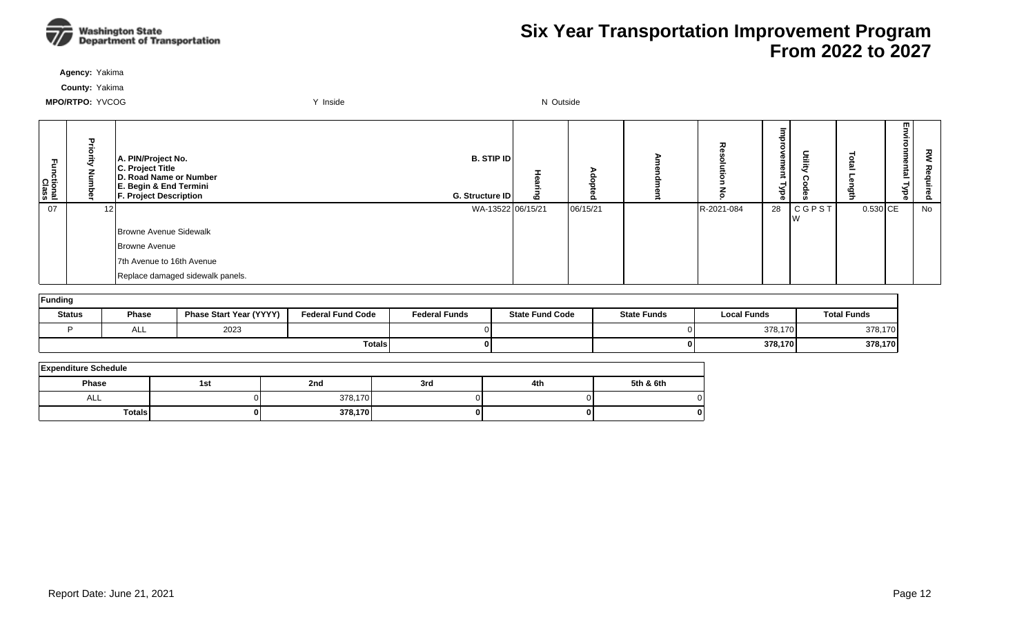

**Agency:** Yakima

**County:** Yakima

| Fa<br>S<br>nctional<br>Class |     | A. PIN/Project No.<br>C. Project Title<br>D. Road Name or Number<br>E. Begin & End Termini<br><b>F. Project Description</b> | <b>B. STIP ID</b><br>G. Structure ID | ௨        | 고          | ᇃ<br>$\circ$<br>g<br>g<br>-<br>ă | Utility            | =          | m.<br><u>a</u> | š<br>る<br>ánir.<br>စိ |
|------------------------------|-----|-----------------------------------------------------------------------------------------------------------------------------|--------------------------------------|----------|------------|----------------------------------|--------------------|------------|----------------|-----------------------|
| 07                           | 121 |                                                                                                                             | WA-13522 06/15/21                    | 06/15/21 | R-2021-084 | 28                               | <b>CGPST</b><br>Iw | $0.530$ CE |                | No                    |
|                              |     | Browne Avenue Sidewalk                                                                                                      |                                      |          |            |                                  |                    |            |                |                       |
|                              |     | Browne Avenue                                                                                                               |                                      |          |            |                                  |                    |            |                |                       |
|                              |     | 7th Avenue to 16th Avenue                                                                                                   |                                      |          |            |                                  |                    |            |                |                       |
|                              |     | Replace damaged sidewalk panels.                                                                                            |                                      |          |            |                                  |                    |            |                |                       |

| Funding       |               |                                |                          |                      |                        |                    |                    |                    |  |  |  |  |  |
|---------------|---------------|--------------------------------|--------------------------|----------------------|------------------------|--------------------|--------------------|--------------------|--|--|--|--|--|
| <b>Status</b> | <b>Phase</b>  | <b>Phase Start Year (YYYY)</b> | <b>Federal Fund Code</b> | <b>Federal Funds</b> | <b>State Fund Code</b> | <b>State Funds</b> | <b>Local Funds</b> | <b>Total Funds</b> |  |  |  |  |  |
|               | $\sim$<br>ALL | 2023                           |                          |                      |                        |                    | 378,170            | 378,170            |  |  |  |  |  |
|               |               |                                | <b>Totals</b>            |                      |                        |                    | 378,170            | 378,170            |  |  |  |  |  |

| <b>Expenditure Schedule</b> |     |         |     |     |           |  |  |  |  |  |  |
|-----------------------------|-----|---------|-----|-----|-----------|--|--|--|--|--|--|
| <b>Phase</b>                | 1st | 2nd     | 3rd | 4th | 5th & 6th |  |  |  |  |  |  |
| ALL                         |     | 378,170 |     |     |           |  |  |  |  |  |  |
| <b>Totals</b>               | 0   | 378,170 |     |     | 0         |  |  |  |  |  |  |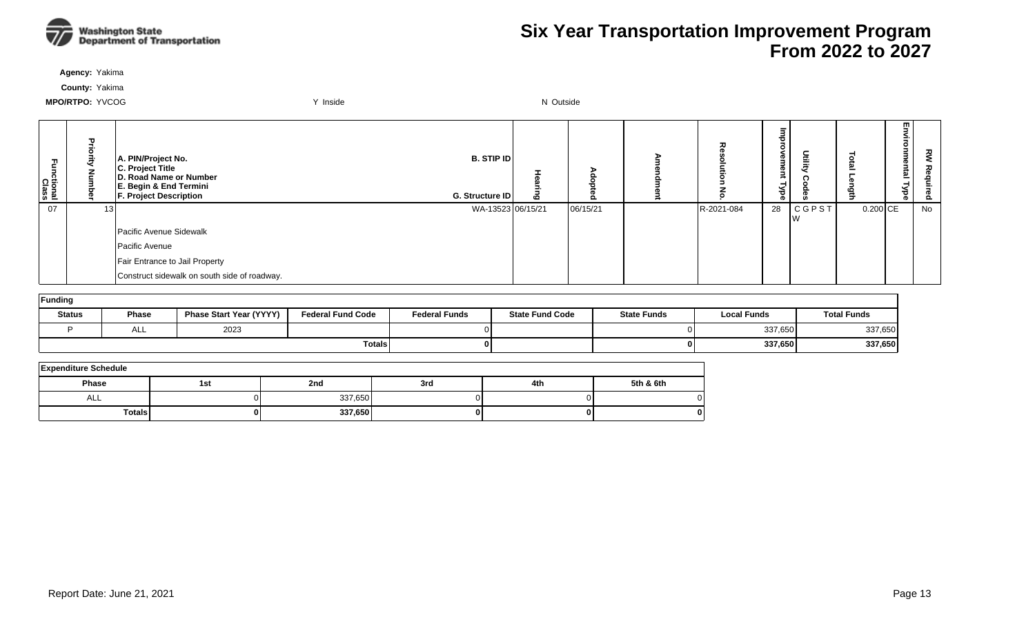

**Agency:** Yakima

**County:** Yakima

| nctional<br>Class | ╖               | A. PIN/Project No.<br>C. Project Title<br>D. Road Name or Number<br>E. Begin & End Termini<br><b>F. Project Description</b> | <b>B. STIP IDI</b><br>G. Structure ID | ο        | ᅏ          | 73<br>c<br>eu<br>gur<br>≺<br>ह | Utilit)            |          | m<br><u>한</u><br>⊣ | š<br>luired |
|-------------------|-----------------|-----------------------------------------------------------------------------------------------------------------------------|---------------------------------------|----------|------------|--------------------------------|--------------------|----------|--------------------|-------------|
| 07                | 13 <sup>1</sup> |                                                                                                                             | WA-13523 06/15/21                     | 06/15/21 | R-2021-084 | 28                             | <b>CGPST</b><br>Iw | 0.200 CE |                    | No          |
|                   |                 | Pacific Avenue Sidewalk                                                                                                     |                                       |          |            |                                |                    |          |                    |             |
|                   |                 | Pacific Avenue                                                                                                              |                                       |          |            |                                |                    |          |                    |             |
|                   |                 | Fair Entrance to Jail Property                                                                                              |                                       |          |            |                                |                    |          |                    |             |
|                   |                 | Construct sidewalk on south side of roadway.                                                                                |                                       |          |            |                                |                    |          |                    |             |

| Funding       |              |                                |                          |                      |                        |                    |                    |                    |  |  |  |  |
|---------------|--------------|--------------------------------|--------------------------|----------------------|------------------------|--------------------|--------------------|--------------------|--|--|--|--|
| <b>Status</b> | <b>Phase</b> | <b>Phase Start Year (YYYY)</b> | <b>Federal Fund Code</b> | <b>Federal Funds</b> | <b>State Fund Code</b> | <b>State Funds</b> | <b>Local Funds</b> | <b>Total Funds</b> |  |  |  |  |
|               | ᄉᄂ           | 2023                           |                          |                      |                        |                    | 337,650            | 337,650            |  |  |  |  |
|               |              |                                | <b>Totals</b>            |                      |                        | 01                 | 337,650            | 337,650            |  |  |  |  |

| <b>Expenditure Schedule</b> |     |         |     |     |           |  |  |  |  |  |  |
|-----------------------------|-----|---------|-----|-----|-----------|--|--|--|--|--|--|
| <b>Phase</b>                | 1st | 2nd     | 3rd | 4th | 5th & 6th |  |  |  |  |  |  |
| ALL                         |     | 337,650 |     |     |           |  |  |  |  |  |  |
| Totals                      | 01  | 337,650 |     |     | 0         |  |  |  |  |  |  |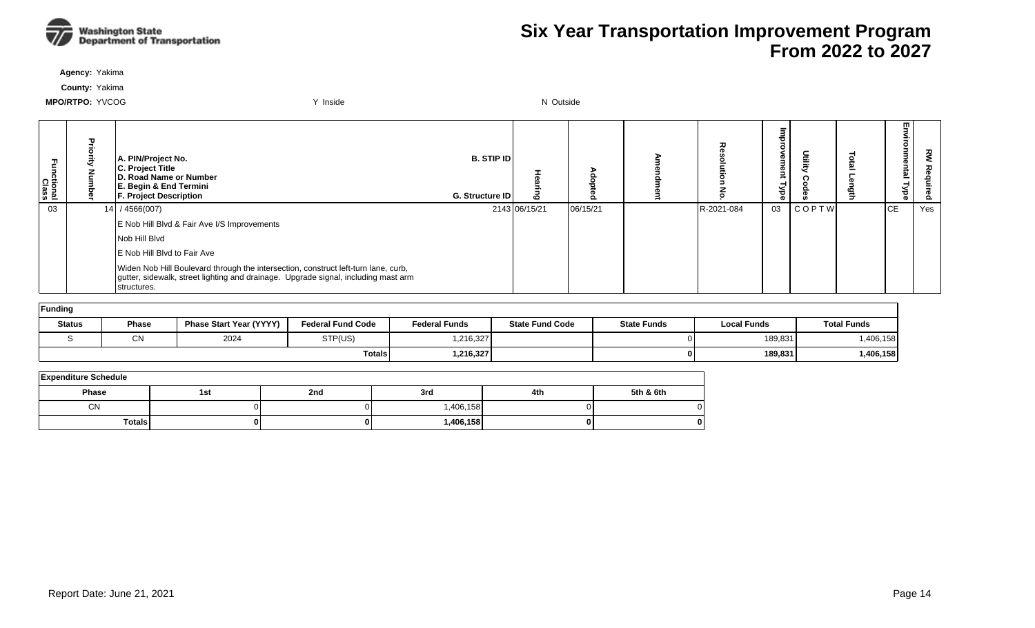

**Agency:** Yakima

**County:** Yakima

| ctional<br>Class | Pric | A. PIN/Project No.<br>C. Project Title<br>D. Road Name or Number<br>E. Begin & End Termini<br><b>F. Project Description</b>                                                             | <b>B.</b> STIP ID<br><b>G. Structure IDI</b> |               | o        | ᆽ          | መ<br>Φ<br>≺<br>ಕ<br>o. |              | m<br><u>한</u><br>ര | 꽁<br>ဥ |
|------------------|------|-----------------------------------------------------------------------------------------------------------------------------------------------------------------------------------------|----------------------------------------------|---------------|----------|------------|------------------------|--------------|--------------------|--------|
| 03               |      | 14 / 4566(007)                                                                                                                                                                          |                                              | 2143 06/15/21 | 06/15/21 | R-2021-084 | 03                     | <b>COPTW</b> | <b>CE</b>          | Yes    |
|                  |      | E Nob Hill Blvd & Fair Ave I/S Improvements                                                                                                                                             |                                              |               |          |            |                        |              |                    |        |
|                  |      | Nob Hill Blvd                                                                                                                                                                           |                                              |               |          |            |                        |              |                    |        |
|                  |      | LE Nob Hill Blvd to Fair Ave                                                                                                                                                            |                                              |               |          |            |                        |              |                    |        |
|                  |      | Widen Nob Hill Boulevard through the intersection, construct left-turn lane, curb,<br>gutter, sidewalk, street lighting and drainage. Upgrade signal, including mast arm<br>structures. |                                              |               |          |            |                        |              |                    |        |

| Funding       |               |                                |                          |                      |                        |                    |                    |                    |  |  |  |  |
|---------------|---------------|--------------------------------|--------------------------|----------------------|------------------------|--------------------|--------------------|--------------------|--|--|--|--|
| <b>Status</b> | Phase         | <b>Phase Start Year (YYYY)</b> | <b>Federal Fund Code</b> | <b>Federal Funds</b> | <b>State Fund Code</b> | <b>State Funds</b> | <b>Local Funds</b> | <b>Total Funds</b> |  |  |  |  |
|               | $\sim$<br>יוש | 2024                           | STP(US)                  | 1,216,327            |                        |                    | 189,831            | ,406,158           |  |  |  |  |
|               |               |                                | Totals                   | 1,216,327            |                        | 01                 | 189,831            | 1,406,158          |  |  |  |  |

| <b>Expenditure Schedule</b> |     |     |           |     |              |  |  |  |  |  |  |
|-----------------------------|-----|-----|-----------|-----|--------------|--|--|--|--|--|--|
| Phase                       | 1st | 2nd | 3rd       | 4th | 5th & 6th    |  |  |  |  |  |  |
| <b>CN</b>                   |     |     | 1,406,158 |     | 0            |  |  |  |  |  |  |
| <b>Totals</b>               |     |     | 1,406,158 |     | $\mathbf{0}$ |  |  |  |  |  |  |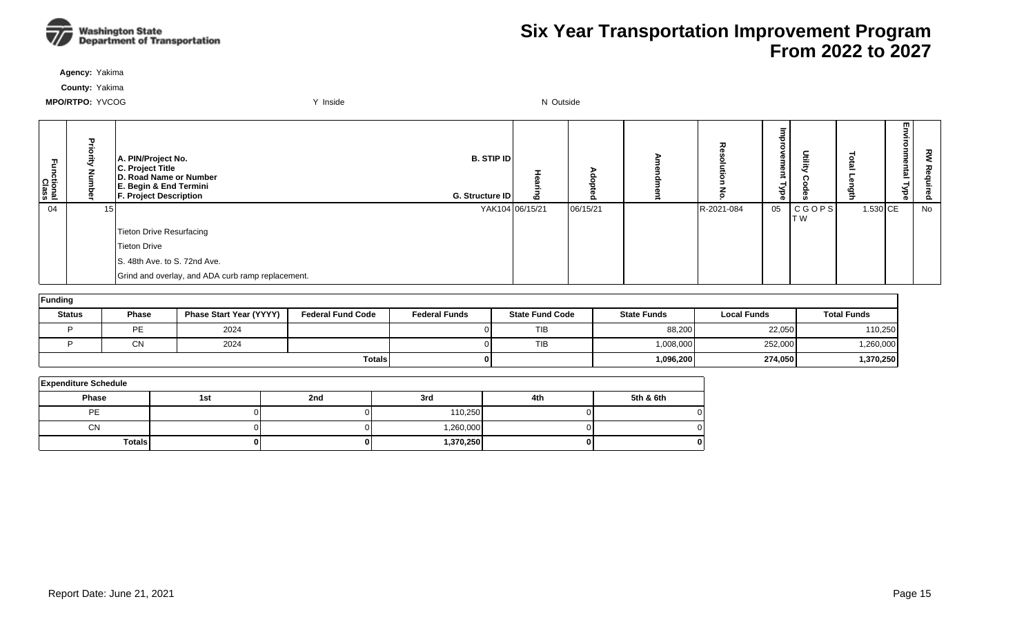

**Agency:** Yakima

**County:** Yakima

| 곤<br>ctional<br>Class |    | A. PIN/Project No.<br>C. Project Title<br>D. Road Name or Number<br>E. Begin & End Termini<br><b>F. Project Description</b> | <b>B. STIP ID</b><br>G. Structure ID | ه               |          | ᄌ          | Ø<br>g<br>уре | Utility        |          | w.<br><u>ត</u> | 짇<br>စိ |
|-----------------------|----|-----------------------------------------------------------------------------------------------------------------------------|--------------------------------------|-----------------|----------|------------|---------------|----------------|----------|----------------|---------|
| 04                    | ۱. |                                                                                                                             |                                      | YAK104 06/15/21 | 06/15/21 | R-2021-084 | 05            | CGOPS <br>IT W | 1.530 CE |                | No      |
|                       |    | Tieton Drive Resurfacing                                                                                                    |                                      |                 |          |            |               |                |          |                |         |
|                       |    | Tieton Drive                                                                                                                |                                      |                 |          |            |               |                |          |                |         |
|                       |    | S. 48th Ave. to S. 72nd Ave.                                                                                                |                                      |                 |          |            |               |                |          |                |         |
|                       |    | Grind and overlay, and ADA curb ramp replacement.                                                                           |                                      |                 |          |            |               |                |          |                |         |

| Funding       |                 |                                |                          |                      |                        |                    |                    |                    |  |  |  |  |  |
|---------------|-----------------|--------------------------------|--------------------------|----------------------|------------------------|--------------------|--------------------|--------------------|--|--|--|--|--|
| <b>Status</b> | Phase           | <b>Phase Start Year (YYYY)</b> | <b>Federal Fund Code</b> | <b>Federal Funds</b> | <b>State Fund Code</b> | <b>State Funds</b> | <b>Local Funds</b> | <b>Total Funds</b> |  |  |  |  |  |
|               | PE              | 2024                           |                          |                      | <b>TIB</b>             | 88,200             | 22,050             | 110,250            |  |  |  |  |  |
|               | $\bigcap$<br>יש | 2024                           |                          |                      | <b>TIB</b>             | 1,008,000          | 252,000            | ,260,000           |  |  |  |  |  |
|               |                 |                                | <b>Totals</b>            |                      |                        | 1,096,200          | 274,050            | 1,370,250          |  |  |  |  |  |

| <b>Expenditure Schedule</b> |     |     |           |     |           |  |  |  |  |  |  |
|-----------------------------|-----|-----|-----------|-----|-----------|--|--|--|--|--|--|
| <b>Phase</b>                | 1st | 2nd | 3rd       | 4th | 5th & 6th |  |  |  |  |  |  |
| PE                          |     |     | 110,250   |     |           |  |  |  |  |  |  |
| <b>CN</b>                   |     |     | 1,260,000 |     |           |  |  |  |  |  |  |
| <b>Totals</b>               |     |     | 1,370,250 |     |           |  |  |  |  |  |  |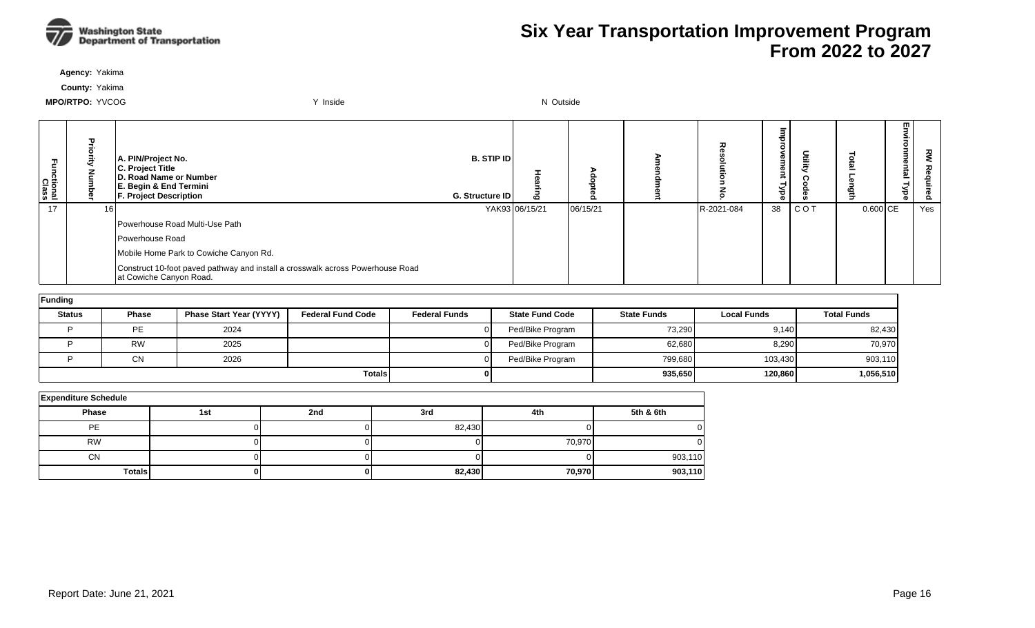

**Agency:** Yakima

**County:** Yakima

| Functional<br>Class |    | A. PIN/Project No.<br>C. Project Title<br>D. Road Name or Number<br>E. Begin & End Termini<br><b>F. Project Description</b> | <b>B. STIP IDI</b><br>G. Structure ID | ه              |          | 고          | <b>D</b><br>Φ<br>≺<br>ਰ<br>Ō | Deling |          | m<br><u>ត</u><br>⊣ | š<br>Õ. |
|---------------------|----|-----------------------------------------------------------------------------------------------------------------------------|---------------------------------------|----------------|----------|------------|------------------------------|--------|----------|--------------------|---------|
| 17                  | 16 |                                                                                                                             |                                       | YAK93 06/15/21 | 06/15/21 | R-2021-084 | 38                           | COT    | 0.600 CE |                    | Yes     |
|                     |    | Powerhouse Road Multi-Use Path                                                                                              |                                       |                |          |            |                              |        |          |                    |         |
|                     |    | Powerhouse Road                                                                                                             |                                       |                |          |            |                              |        |          |                    |         |
|                     |    | Mobile Home Park to Cowiche Canyon Rd.                                                                                      |                                       |                |          |            |                              |        |          |                    |         |
|                     |    | Construct 10-foot paved pathway and install a crosswalk across Powerhouse Road<br>at Cowiche Canyon Road.                   |                                       |                |          |            |                              |        |          |                    |         |

| Funding       |              |                                |                          |                      |                        |                    |                    |                    |  |  |  |  |
|---------------|--------------|--------------------------------|--------------------------|----------------------|------------------------|--------------------|--------------------|--------------------|--|--|--|--|
| <b>Status</b> | <b>Phase</b> | <b>Phase Start Year (YYYY)</b> | <b>Federal Fund Code</b> | <b>Federal Funds</b> | <b>State Fund Code</b> | <b>State Funds</b> | <b>Local Funds</b> | <b>Total Funds</b> |  |  |  |  |
|               | PE           | 2024                           |                          |                      | Ped/Bike Program       | 73,290             | 9,140              | 82,430             |  |  |  |  |
|               | <b>RW</b>    | 2025                           |                          |                      | Ped/Bike Program       | 62,680             | 8,290              | 70,970             |  |  |  |  |
|               | <b>CN</b>    | 2026                           |                          |                      | Ped/Bike Program       | 799,680            | 103,430            | 903,110            |  |  |  |  |
|               |              |                                | <b>Totals</b>            |                      |                        | 935,650            | 120,860            | 1,056,510          |  |  |  |  |

| <b>Expenditure Schedule</b> |     |     |        |        |           |  |  |  |  |  |  |
|-----------------------------|-----|-----|--------|--------|-----------|--|--|--|--|--|--|
| Phase                       | 1st | 2nd | 3rd    | 4th    | 5th & 6th |  |  |  |  |  |  |
| <b>PE</b>                   |     |     | 82,430 |        |           |  |  |  |  |  |  |
| <b>RW</b>                   |     |     |        | 70,970 |           |  |  |  |  |  |  |
| <b>CN</b>                   |     |     |        |        | 903,110   |  |  |  |  |  |  |
| <b>Totals</b>               |     |     | 82,430 | 70,970 | 903,110   |  |  |  |  |  |  |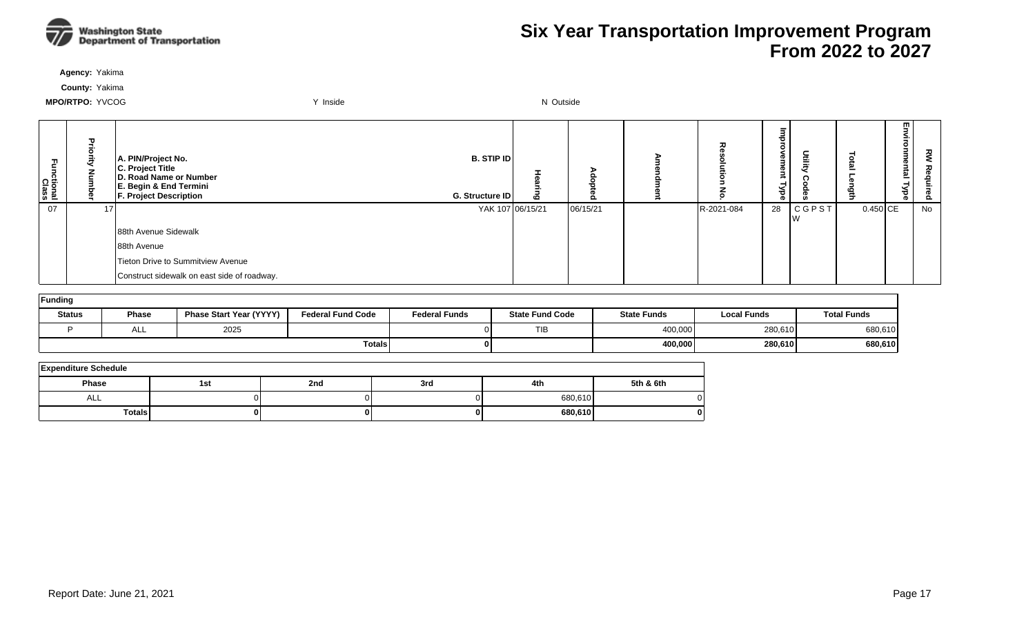

**Agency:** Yakima

**County:** Yakima

| ctional<br>Class | ᠇               | A. PIN/Project No.<br>C. Project Title<br>D. Road Name or Number<br>E. Begin & End Termini<br><b>F. Project Description</b> | <b>B. STIP IDI</b><br>G. Structure ID |                  |          |            | 7<br>c<br><b>D</b><br>з<br>Φ<br>,<br>≺<br>ಕ<br>ക | Utilit)            |            | w.<br><u>한</u> | š<br><u>o</u> |
|------------------|-----------------|-----------------------------------------------------------------------------------------------------------------------------|---------------------------------------|------------------|----------|------------|--------------------------------------------------|--------------------|------------|----------------|---------------|
| 07               | 17 <sup>1</sup> |                                                                                                                             |                                       | YAK 107 06/15/21 | 06/15/21 | R-2021-084 | 28                                               | <b>CGPST</b><br>١w | $0.450$ CE |                | No            |
|                  |                 | 88th Avenue Sidewalk                                                                                                        |                                       |                  |          |            |                                                  |                    |            |                |               |
|                  |                 | 88th Avenue                                                                                                                 |                                       |                  |          |            |                                                  |                    |            |                |               |
|                  |                 | Tieton Drive to Summitview Avenue                                                                                           |                                       |                  |          |            |                                                  |                    |            |                |               |
|                  |                 | Construct sidewalk on east side of roadway.                                                                                 |                                       |                  |          |            |                                                  |                    |            |                |               |

| Funding       |              |                         |                          |                      |                        |                    |                    |                    |  |  |  |  |
|---------------|--------------|-------------------------|--------------------------|----------------------|------------------------|--------------------|--------------------|--------------------|--|--|--|--|
| <b>Status</b> | <b>Phase</b> | Phase Start Year (YYYY) | <b>Federal Fund Code</b> | <b>Federal Funds</b> | <b>State Fund Code</b> | <b>State Funds</b> | <b>Local Funds</b> | <b>Total Funds</b> |  |  |  |  |
|               | ALL          | 2025                    |                          |                      | TIB                    | 400,000            | 280,610            | 680,610            |  |  |  |  |
|               |              |                         | <b>Totals</b>            |                      |                        | 400,000            | 280,610            | 680,610            |  |  |  |  |

| <b>Expenditure Schedule</b> |     |     |     |         |           |  |  |  |  |  |  |
|-----------------------------|-----|-----|-----|---------|-----------|--|--|--|--|--|--|
| Phase                       | 1st | 2nd | 3rd | 4th     | 5th & 6th |  |  |  |  |  |  |
| ALL                         |     |     |     | 680,610 |           |  |  |  |  |  |  |
| <b>Totals</b>               | 01  |     |     | 680,610 |           |  |  |  |  |  |  |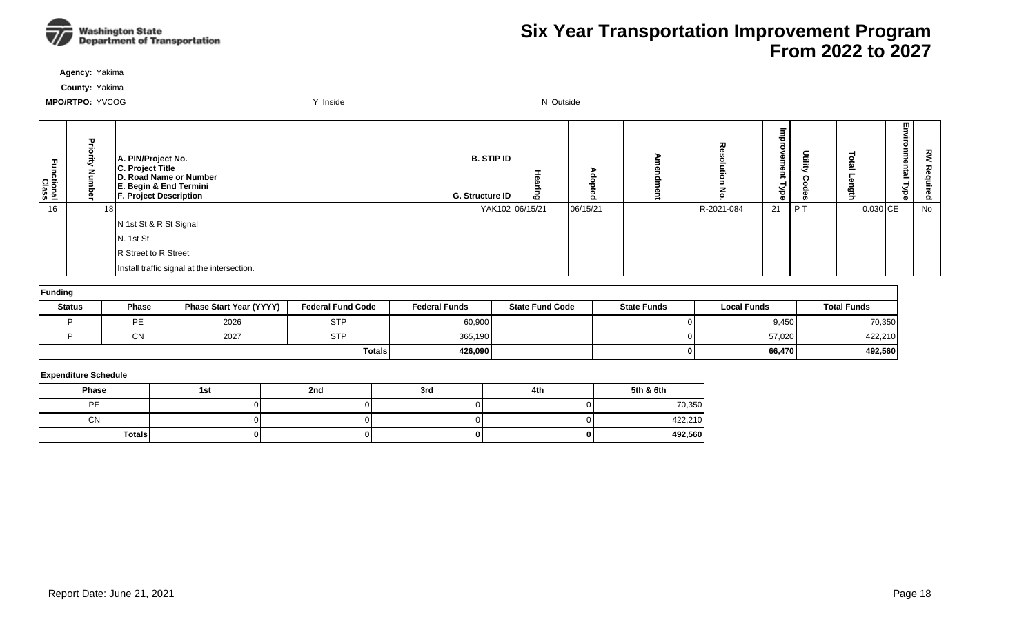

**Agency:** Yakima

**County:** Yakima

| m<br>ctional<br>Class | F<br>ō<br>ā<br>ᆯ | A. PIN/Project No.<br>C. Project Title<br>D. Road Name or Number<br>E. Begin & End Termini<br><b>F. Project Description</b> | B. STIP ID<br>G. Structure ID | ō               | o        | 观          | ᄒ<br><b>D</b><br>3.<br>Φ<br>$\rightarrow$<br>ਙ<br>ΦĪ | nilit) | Ö<br>=<br>- | 罒<br>᠗<br>ë<br>≌<br>ہے<br>ಕ<br>ത | ξ<br>る<br><b>auired</b> |
|-----------------------|------------------|-----------------------------------------------------------------------------------------------------------------------------|-------------------------------|-----------------|----------|------------|------------------------------------------------------|--------|-------------|----------------------------------|-------------------------|
| 16                    | 18               |                                                                                                                             |                               | YAK102 06/15/21 | 06/15/21 | R-2021-084 | 21                                                   | $P$ T  | $0.030$ CE  |                                  | No                      |
|                       |                  | N 1st St & R St Signal                                                                                                      |                               |                 |          |            |                                                      |        |             |                                  |                         |
|                       |                  | N. 1st St.                                                                                                                  |                               |                 |          |            |                                                      |        |             |                                  |                         |
|                       |                  | R Street to R Street                                                                                                        |                               |                 |          |            |                                                      |        |             |                                  |                         |
|                       |                  | Install traffic signal at the intersection.                                                                                 |                               |                 |          |            |                                                      |        |             |                                  |                         |

| Funding       |              |                                |                          |                      |                        |                    |                    |                    |  |  |  |  |
|---------------|--------------|--------------------------------|--------------------------|----------------------|------------------------|--------------------|--------------------|--------------------|--|--|--|--|
| <b>Status</b> | <b>Phase</b> | <b>Phase Start Year (YYYY)</b> | <b>Federal Fund Code</b> | <b>Federal Funds</b> | <b>State Fund Code</b> | <b>State Funds</b> | <b>Local Funds</b> | <b>Total Funds</b> |  |  |  |  |
|               | <b>DE</b>    | 2026                           | <b>STP</b>               | 60,900               |                        |                    | 9,450              | 70,350             |  |  |  |  |
|               | ΩN<br>UΝ     | 2027                           | <b>STP</b>               | 365,190              |                        |                    | 57,020             | 422,210            |  |  |  |  |
|               |              |                                | <b>Totals</b>            | 426.090              |                        |                    | 66,470             | 492,560            |  |  |  |  |

| <b>Expenditure Schedule</b> |     |     |     |     |           |  |  |  |  |  |  |
|-----------------------------|-----|-----|-----|-----|-----------|--|--|--|--|--|--|
| <b>Phase</b>                | 1st | 2nd | 3rd | 4th | 5th & 6th |  |  |  |  |  |  |
| PE                          |     |     |     |     | 70,350    |  |  |  |  |  |  |
| <b>CN</b>                   |     |     |     |     | 422,210   |  |  |  |  |  |  |
| <b>Totals</b>               | 0   |     |     |     | 492,560   |  |  |  |  |  |  |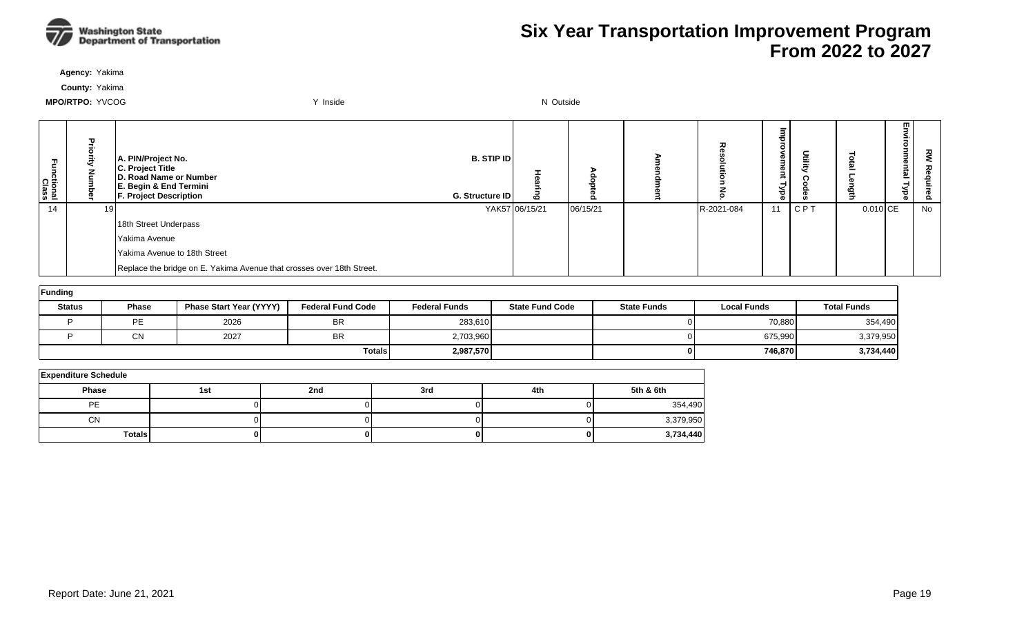

**Agency:** Yakima

**County:** Yakima

| Ę<br>ctional<br>Class | Pric | A. PIN/Project No.<br>C. Project Title<br>D. Road Name or Number<br>E. Begin & End Termini<br><b>F. Project Description</b> | <b>B. STIP ID</b><br>G. Structure ID | ه              | o        | ᆽ          | ®<br>നാ.<br>ಕ<br>ര |            |          | 罒<br>Ξ<br>ہ<br>ರ<br>ത | š<br><u>o</u> |
|-----------------------|------|-----------------------------------------------------------------------------------------------------------------------------|--------------------------------------|----------------|----------|------------|--------------------|------------|----------|-----------------------|---------------|
| 14                    | 19 I |                                                                                                                             |                                      | YAK57 06/15/21 | 06/15/21 | R-2021-084 | 11                 | <b>CPT</b> | 0.010 CE |                       | No            |
|                       |      | 18th Street Underpass                                                                                                       |                                      |                |          |            |                    |            |          |                       |               |
|                       |      | Yakima Avenue                                                                                                               |                                      |                |          |            |                    |            |          |                       |               |
|                       |      | Yakima Avenue to 18th Street                                                                                                |                                      |                |          |            |                    |            |          |                       |               |
|                       |      | Replace the bridge on E. Yakima Avenue that crosses over 18th Street.                                                       |                                      |                |          |            |                    |            |          |                       |               |

| Funding       |              |                         |                          |                      |                        |                    |                    |                    |  |  |  |  |
|---------------|--------------|-------------------------|--------------------------|----------------------|------------------------|--------------------|--------------------|--------------------|--|--|--|--|
| <b>Status</b> | <b>Phase</b> | Phase Start Year (YYYY) | <b>Federal Fund Code</b> | <b>Federal Funds</b> | <b>State Fund Code</b> | <b>State Funds</b> | <b>Local Funds</b> | <b>Total Funds</b> |  |  |  |  |
|               | <b>PE</b>    | 2026                    | <b>BR</b>                | 283,610              |                        |                    | 70,880             | 354,490            |  |  |  |  |
|               | <b>CN</b>    | 2027                    | <b>BR</b>                | 2,703,960            |                        |                    | 675,990            | 3,379,950          |  |  |  |  |
|               |              |                         | <b>Totals</b>            | 2,987,570            |                        |                    | 746.870            | 3,734,440          |  |  |  |  |

| <b>Expenditure Schedule</b> |     |     |     |     |           |  |  |  |  |  |  |
|-----------------------------|-----|-----|-----|-----|-----------|--|--|--|--|--|--|
| Phase                       | 1st | 2nd | 3rd | 4th | 5th & 6th |  |  |  |  |  |  |
| PE                          |     |     |     |     | 354,490   |  |  |  |  |  |  |
| CN                          |     |     |     |     | 3,379,950 |  |  |  |  |  |  |
| <b>Totals</b>               |     |     |     |     | 3,734,440 |  |  |  |  |  |  |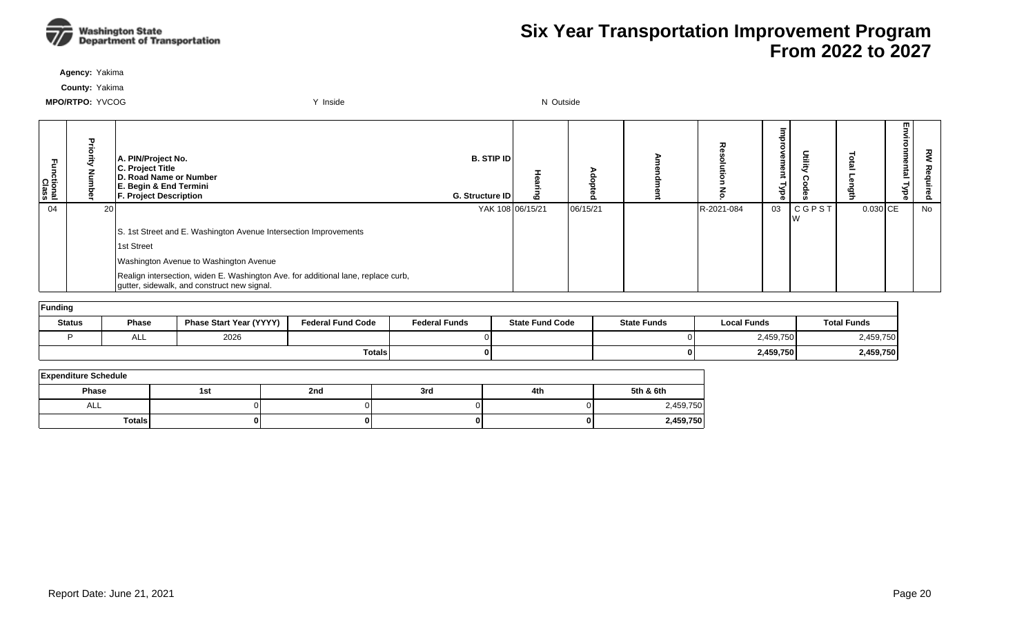

**Agency:** Yakima

**County:** Yakima

| :tional<br>Class |    | A. PIN/Project No.<br>C. Project Title<br>D. Road Name or Number<br>E. Begin & End Termini<br><b>F. Project Description</b>      | <b>B. STIP IDI</b><br>G. Structure ID | o<br>ā<br>o | 고          | $\overline{\phantom{a}}$<br><b>ement</b><br>Type | Deilit       |            | 모 !<br>ಕ<br>ൈ | ௨  |
|------------------|----|----------------------------------------------------------------------------------------------------------------------------------|---------------------------------------|-------------|------------|--------------------------------------------------|--------------|------------|---------------|----|
| 04               | 20 |                                                                                                                                  | YAK 108 06/15/21                      | 06/15/21    | R-2021-084 | 03                                               | <b>CGPST</b> | $0.030$ CE |               | No |
|                  |    | S. 1st Street and E. Washington Avenue Intersection Improvements                                                                 |                                       |             |            |                                                  |              |            |               |    |
|                  |    | 1st Street                                                                                                                       |                                       |             |            |                                                  |              |            |               |    |
|                  |    | Washington Avenue to Washington Avenue                                                                                           |                                       |             |            |                                                  |              |            |               |    |
|                  |    | Realign intersection, widen E. Washington Ave. for additional lane, replace curb,<br>gutter, sidewalk, and construct new signal. |                                       |             |            |                                                  |              |            |               |    |
| Funding          |    |                                                                                                                                  |                                       |             |            |                                                  |              |            |               |    |

| <b>Status</b> | Phase | <b>Phase Start Year (YYYY)</b> | <b>Federal Fund Code</b> | <b>Federal Funds</b> | <b>State Fund Code</b> | <b>State Funds</b> | <b>Local Funds</b> | <b>Total Funds</b> |  |  |  |  |  |
|---------------|-------|--------------------------------|--------------------------|----------------------|------------------------|--------------------|--------------------|--------------------|--|--|--|--|--|
|               | ALL   | 2026                           |                          |                      |                        |                    | 2,459,750          | 459,750            |  |  |  |  |  |
|               |       |                                | <b>Totals</b>            |                      |                        |                    | 2,459,750          | 2,459,750          |  |  |  |  |  |

| <b>Expenditure Schedule</b> |     |     |     |     |           |  |  |  |  |  |  |
|-----------------------------|-----|-----|-----|-----|-----------|--|--|--|--|--|--|
| <b>Phase</b>                | 1st | 2nd | 3rd | 4th | 5th & 6th |  |  |  |  |  |  |
| ALL                         |     |     |     |     | 2,459,750 |  |  |  |  |  |  |
| <b>Totals</b>               | 01  |     |     | 0   | 2,459,750 |  |  |  |  |  |  |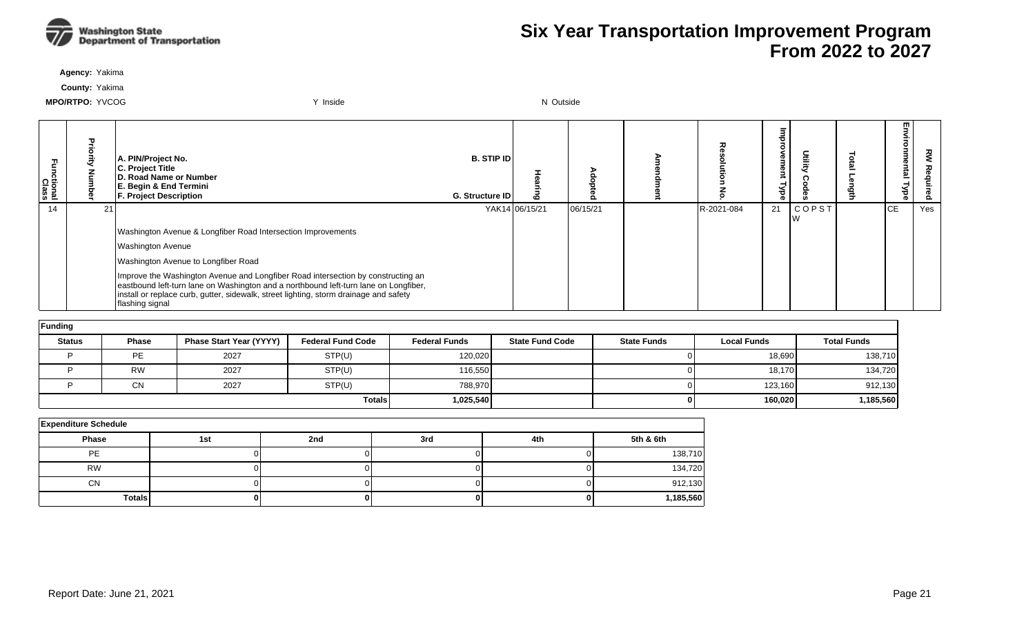

**Agency:** Yakima

**County:** Yakima

| Functional<br>Class |                 | A. PIN/Project No.<br><b>C. Project Title</b><br>D. Road Name or Number<br>E. Begin & End Termini<br><b>F. Project Description</b>                                                                                                                                                   | <b>B. STIP IDI</b><br>G. Structure ID | $\mathbf{c}$   |          | ᆽ          | Φ<br><b>D</b><br>है | Ĕ     | ≌         | 꽁<br>$\circ$ |
|---------------------|-----------------|--------------------------------------------------------------------------------------------------------------------------------------------------------------------------------------------------------------------------------------------------------------------------------------|---------------------------------------|----------------|----------|------------|---------------------|-------|-----------|--------------|
| 14                  | 21 <sub>1</sub> |                                                                                                                                                                                                                                                                                      |                                       | YAK14 06/15/21 | 06/15/21 | R-2021-084 | 21                  | COPST | <b>CE</b> | Yes          |
|                     |                 | Washington Avenue & Longfiber Road Intersection Improvements                                                                                                                                                                                                                         |                                       |                |          |            |                     |       |           |              |
|                     |                 | <b>Washington Avenue</b>                                                                                                                                                                                                                                                             |                                       |                |          |            |                     |       |           |              |
|                     |                 | Washington Avenue to Longfiber Road                                                                                                                                                                                                                                                  |                                       |                |          |            |                     |       |           |              |
|                     |                 | Improve the Washington Avenue and Longfiber Road intersection by constructing an<br>eastbound left-turn lane on Washington and a northbound left-turn lane on Longfiber,<br>Install or replace curb, gutter, sidewalk, street lighting, storm drainage and safety<br>flashing signal |                                       |                |          |            |                     |       |           |              |

| Funding       |           |                                |                          |                      |                        |                    |                    |                    |  |  |  |  |  |
|---------------|-----------|--------------------------------|--------------------------|----------------------|------------------------|--------------------|--------------------|--------------------|--|--|--|--|--|
| <b>Status</b> | Phase     | <b>Phase Start Year (YYYY)</b> | <b>Federal Fund Code</b> | <b>Federal Funds</b> | <b>State Fund Code</b> | <b>State Funds</b> | <b>Local Funds</b> | <b>Total Funds</b> |  |  |  |  |  |
|               | <b>PE</b> | 2027                           | STP(U)                   | 120,020              |                        |                    | 18,690             | 138,710            |  |  |  |  |  |
|               | <b>RW</b> | 2027                           | STP(U)                   | 116,550              |                        |                    | 18,170             | 134,720            |  |  |  |  |  |
|               | CN        | 2027                           | STP(U)                   | 788,970              |                        |                    | 123,160            | 912,130            |  |  |  |  |  |
|               |           |                                | <b>Totals</b>            | 1,025,540            |                        |                    | 160,020            | 1,185,560          |  |  |  |  |  |

| <b>Expenditure Schedule</b> |     |     |     |     |           |  |  |  |  |  |  |  |
|-----------------------------|-----|-----|-----|-----|-----------|--|--|--|--|--|--|--|
| Phase                       | 1st | 2nd | 3rd | 4th | 5th & 6th |  |  |  |  |  |  |  |
| <b>PE</b>                   |     |     |     |     | 138,710   |  |  |  |  |  |  |  |
| <b>RW</b>                   |     |     |     |     | 134,720   |  |  |  |  |  |  |  |
| <b>CN</b>                   |     |     |     |     | 912,130   |  |  |  |  |  |  |  |
| <b>Totals</b>               |     |     |     |     | 1,185,560 |  |  |  |  |  |  |  |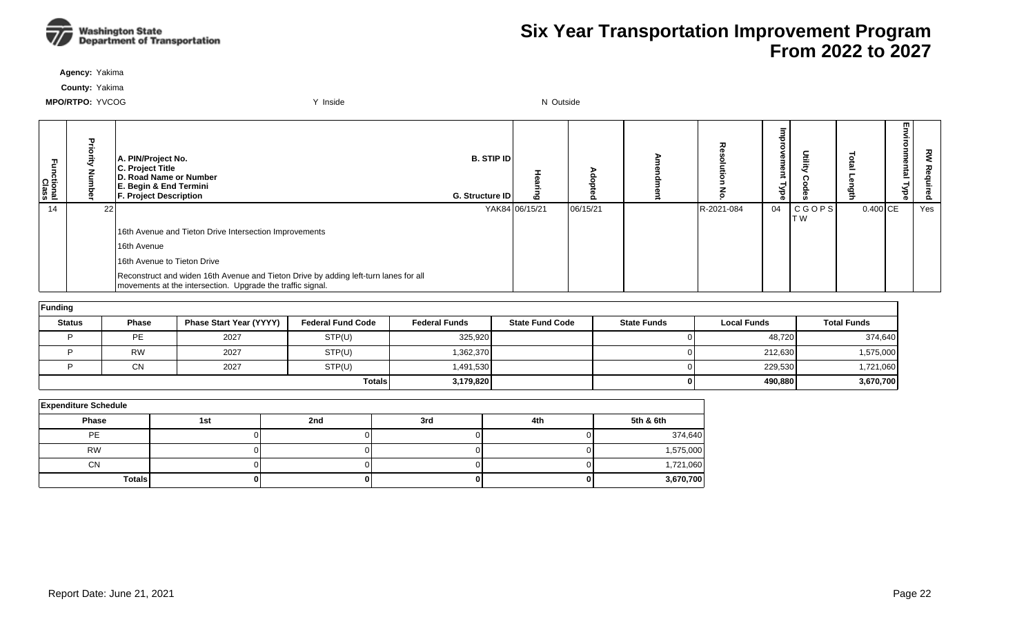

**Agency:** Yakima

**County:** Yakima

| ctional<br>Class |         | A. PIN/Project No.<br>C. Project Title<br>D. Road Name or Number<br>E. Begin & End Termini<br><b>F. Project Description</b>                        | <b>B. STIP IDI</b><br>G. Structure ID | $\mathbf{c}$   |          |            | നാ<br>നാ<br>ಕ<br>ക | Utility              |            | m<br>효 | 짖<br>௨ |
|------------------|---------|----------------------------------------------------------------------------------------------------------------------------------------------------|---------------------------------------|----------------|----------|------------|--------------------|----------------------|------------|--------|--------|
| 14               | $22 \,$ |                                                                                                                                                    |                                       | YAK84 06/15/21 | 06/15/21 | R-2021-084 | 04                 | <b>CGOPS</b><br>IT W | $0.400$ CE |        | Yes    |
|                  |         | 16th Avenue and Tieton Drive Intersection Improvements                                                                                             |                                       |                |          |            |                    |                      |            |        |        |
|                  |         | 16th Avenue                                                                                                                                        |                                       |                |          |            |                    |                      |            |        |        |
|                  |         | 16th Avenue to Tieton Drive                                                                                                                        |                                       |                |          |            |                    |                      |            |        |        |
|                  |         | Reconstruct and widen 16th Avenue and Tieton Drive by adding left-turn lanes for all<br>movements at the intersection. Upgrade the traffic signal. |                                       |                |          |            |                    |                      |            |        |        |

| Funding       |           |                         |                          |                      |                        |                    |                    |                    |  |  |  |  |  |
|---------------|-----------|-------------------------|--------------------------|----------------------|------------------------|--------------------|--------------------|--------------------|--|--|--|--|--|
| <b>Status</b> | Phase     | Phase Start Year (YYYY) | <b>Federal Fund Code</b> | <b>Federal Funds</b> | <b>State Fund Code</b> | <b>State Funds</b> | <b>Local Funds</b> | <b>Total Funds</b> |  |  |  |  |  |
|               | <b>PE</b> | 2027                    | STP(U)                   | 325,920              |                        |                    | 48,720             | 374,640            |  |  |  |  |  |
|               | <b>RW</b> | 2027                    | STP(U)                   | 1,362,370            |                        |                    | 212,630            | 1,575,000          |  |  |  |  |  |
|               | <b>CN</b> | 2027                    | STP(U)                   | 1,491,530            |                        |                    | 229,530            | 1,721,060          |  |  |  |  |  |
|               |           |                         | <b>Totals</b>            | 3,179,820            |                        |                    | 490,880            | 3,670,700          |  |  |  |  |  |

| <b>Expenditure Schedule</b> |     |     |     |     |           |  |  |  |  |  |  |  |
|-----------------------------|-----|-----|-----|-----|-----------|--|--|--|--|--|--|--|
| <b>Phase</b>                | 1st | 2nd | 3rd | 4th | 5th & 6th |  |  |  |  |  |  |  |
| PE                          |     |     |     |     | 374,640   |  |  |  |  |  |  |  |
| <b>RW</b>                   |     |     |     |     | 1,575,000 |  |  |  |  |  |  |  |
| CN                          |     |     |     |     | 1,721,060 |  |  |  |  |  |  |  |
| Totals                      |     |     |     |     | 3,670,700 |  |  |  |  |  |  |  |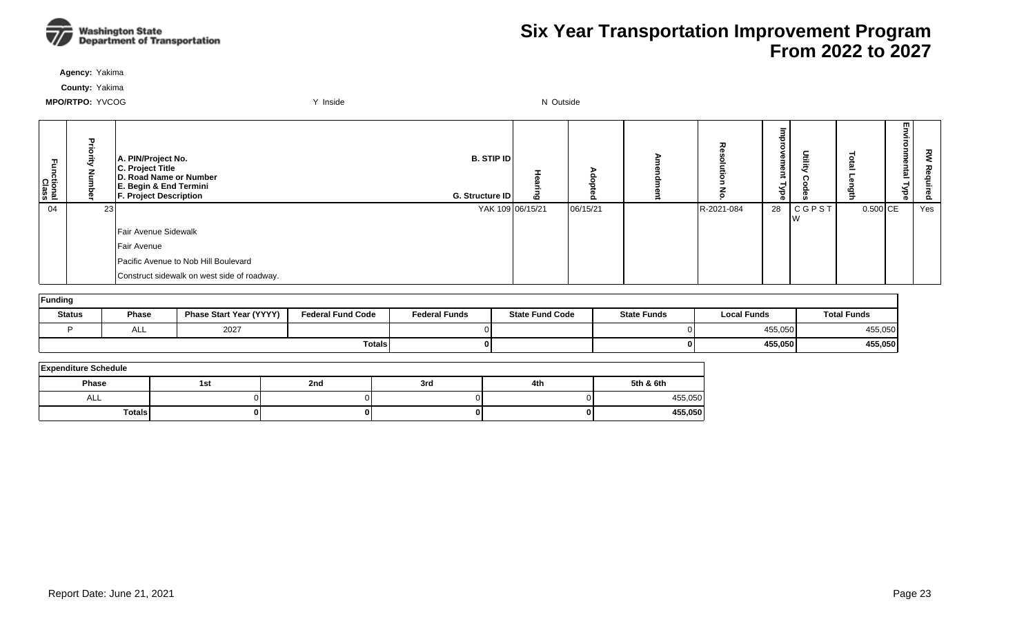

**Agency:** Yakima

**County:** Yakima

| 곤<br>nctional<br>Class |                 | A. PIN/Project No.<br>C. Project Title<br>D. Road Name or Number<br>E. Begin & End Termini<br><b>F. Project Description</b> | B. STIP ID<br>G. Structure ID | ڡ | Ω        | 고          | ┲<br>$\circ$<br>g<br>g<br>-<br>Ăь | Utility            | =        | w.<br><u>g</u> | š<br>aduired |
|------------------------|-----------------|-----------------------------------------------------------------------------------------------------------------------------|-------------------------------|---|----------|------------|-----------------------------------|--------------------|----------|----------------|--------------|
| 04                     | 23 <sub>l</sub> |                                                                                                                             | YAK 109 06/15/21              |   | 06/15/21 | R-2021-084 | 28                                | <b>CGPST</b><br>١w | 0.500 CE |                | Yes          |
|                        |                 | Fair Avenue Sidewalk                                                                                                        |                               |   |          |            |                                   |                    |          |                |              |
|                        |                 | Fair Avenue                                                                                                                 |                               |   |          |            |                                   |                    |          |                |              |
|                        |                 | Pacific Avenue to Nob Hill Boulevard                                                                                        |                               |   |          |            |                                   |                    |          |                |              |
|                        |                 | Construct sidewalk on west side of roadway.                                                                                 |                               |   |          |            |                                   |                    |          |                |              |

| Funding       |       |                                |                          |                      |                        |                    |                    |                    |  |  |  |  |
|---------------|-------|--------------------------------|--------------------------|----------------------|------------------------|--------------------|--------------------|--------------------|--|--|--|--|
| <b>Status</b> | Phase | <b>Phase Start Year (YYYY)</b> | <b>Federal Fund Code</b> | <b>Federal Funds</b> | <b>State Fund Code</b> | <b>State Funds</b> | <b>Local Funds</b> | <b>Total Funds</b> |  |  |  |  |
|               | ALL   | 2027                           |                          |                      |                        |                    | 455,050            | 455,050            |  |  |  |  |
|               |       |                                | <b>Totals</b>            |                      |                        |                    | 455,050            | 455,050            |  |  |  |  |

| <b>Expenditure Schedule</b> |     |     |     |     |           |  |  |  |  |  |  |
|-----------------------------|-----|-----|-----|-----|-----------|--|--|--|--|--|--|
| Phase                       | 1st | 2nd | 3rd | 4th | 5th & 6th |  |  |  |  |  |  |
| ALL                         |     |     |     |     | 455,050   |  |  |  |  |  |  |
| <b>Totals</b>               |     |     |     |     | 455,050   |  |  |  |  |  |  |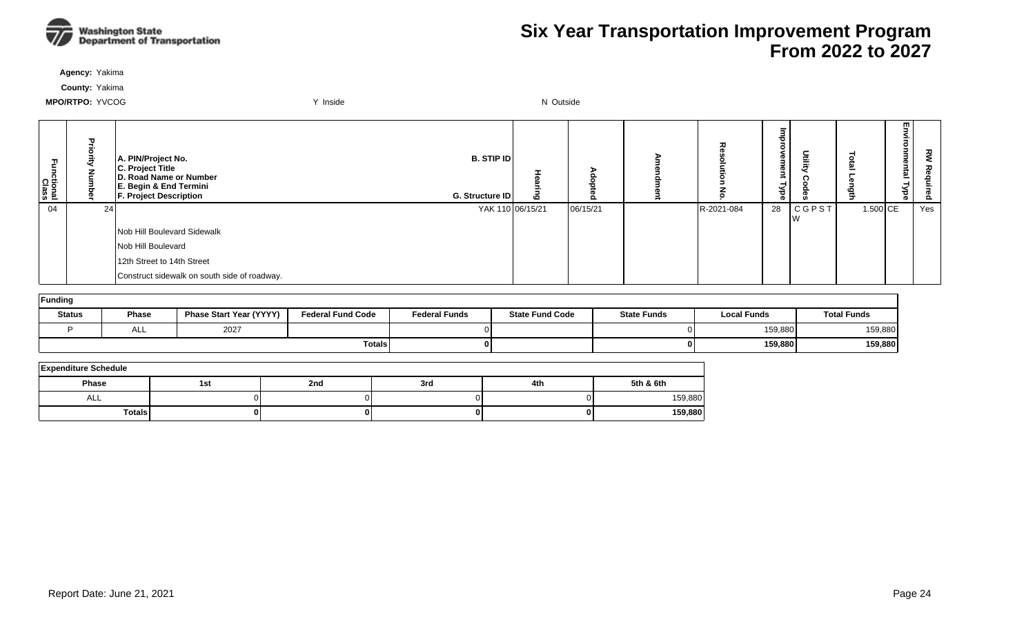

**Agency:** Yakima

**County:** Yakima

| Fall<br>ctional<br>Class | $\mathbf{D}$ | A. PIN/Project No.<br>C. Project Title<br>D. Road Name or Number<br>E. Begin & End Termini<br><b>F. Project Description</b> | <b>B. STIP ID</b><br>G. Structure ID |                  | ௨        |            | c<br>നാ<br>g<br>-<br>wee | Utilit)            |          | m.<br>ē | 짖<br>은<br>ဥ |
|--------------------------|--------------|-----------------------------------------------------------------------------------------------------------------------------|--------------------------------------|------------------|----------|------------|--------------------------|--------------------|----------|---------|-------------|
| 04                       | 24           |                                                                                                                             |                                      | YAK 110 06/15/21 | 06/15/21 | R-2021-084 | 28                       | <b>CGPST</b><br>Iw | 1.500 CE |         | Yes         |
|                          |              | Nob Hill Boulevard Sidewalk                                                                                                 |                                      |                  |          |            |                          |                    |          |         |             |
|                          |              | Nob Hill Boulevard                                                                                                          |                                      |                  |          |            |                          |                    |          |         |             |
|                          |              | 12th Street to 14th Street                                                                                                  |                                      |                  |          |            |                          |                    |          |         |             |
|                          |              | Construct sidewalk on south side of roadway.                                                                                |                                      |                  |          |            |                          |                    |          |         |             |

| Funding       |            |                                |                          |                      |                        |                    |                    |                    |  |  |  |  |  |
|---------------|------------|--------------------------------|--------------------------|----------------------|------------------------|--------------------|--------------------|--------------------|--|--|--|--|--|
| <b>Status</b> | Phase      | <b>Phase Start Year (YYYY)</b> | <b>Federal Fund Code</b> | <b>Federal Funds</b> | <b>State Fund Code</b> | <b>State Funds</b> | <b>Local Funds</b> | <b>Total Funds</b> |  |  |  |  |  |
|               | <b>ALL</b> | 2027                           |                          |                      |                        |                    | 159,880            | 159,880            |  |  |  |  |  |
|               |            |                                | <b>Totals</b>            |                      |                        | 01                 | 159,880            | 159,880            |  |  |  |  |  |

| <b>Expenditure Schedule</b> |     |     |     |     |           |  |  |  |  |  |  |
|-----------------------------|-----|-----|-----|-----|-----------|--|--|--|--|--|--|
| Phase                       | 1st | 2nd | 3rd | 4th | 5th & 6th |  |  |  |  |  |  |
| ALL                         |     |     |     |     | 159,880   |  |  |  |  |  |  |
| <b>Totals</b>               |     |     |     |     | 159,880   |  |  |  |  |  |  |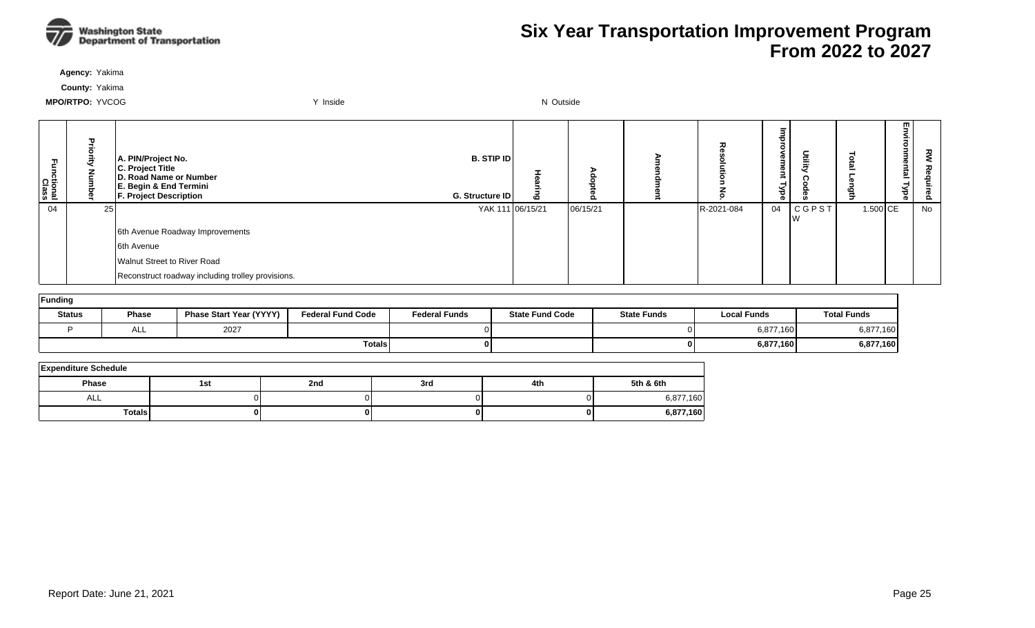

**Agency:** Yakima

**County:** Yakima

| ፓ<br>ctional<br>Class | ᠊ᠣ | A. PIN/Project No.<br>C. Project Title<br>D. Road Name or Number<br>E. Begin & End Termini<br><b>F. Project Description</b> | <b>B. STIP ID</b><br>G. Structure ID | ه | ο        | 고          | 73<br>€<br>g<br>≺<br>್ಥಾ | Utility            | ဖ        | ▥<br><u>한</u><br>ᅴ | š<br>luired |
|-----------------------|----|-----------------------------------------------------------------------------------------------------------------------------|--------------------------------------|---|----------|------------|--------------------------|--------------------|----------|--------------------|-------------|
| 04                    | 25 |                                                                                                                             | YAK 111 06/15/21                     |   | 06/15/21 | R-2021-084 | 04                       | <b>CGPST</b><br>١w | 1.500 CE |                    | No          |
|                       |    | 6th Avenue Roadway Improvements                                                                                             |                                      |   |          |            |                          |                    |          |                    |             |
|                       |    | 6th Avenue                                                                                                                  |                                      |   |          |            |                          |                    |          |                    |             |
|                       |    | Walnut Street to River Road                                                                                                 |                                      |   |          |            |                          |                    |          |                    |             |
|                       |    | Reconstruct roadway including trolley provisions.                                                                           |                                      |   |          |            |                          |                    |          |                    |             |

| Funding       |              |                                |                          |                      |                        |                    |                    |                    |  |  |  |  |
|---------------|--------------|--------------------------------|--------------------------|----------------------|------------------------|--------------------|--------------------|--------------------|--|--|--|--|
| <b>Status</b> | <b>Phase</b> | <b>Phase Start Year (YYYY)</b> | <b>Federal Fund Code</b> | <b>Federal Funds</b> | <b>State Fund Code</b> | <b>State Funds</b> | <b>Local Funds</b> | <b>Total Funds</b> |  |  |  |  |
|               | ─            | 2027                           |                          |                      |                        |                    | 6,877,160          | 6,877,160          |  |  |  |  |
|               |              |                                | <b>Totals</b>            |                      |                        | 01                 | 6,877,160          | 6,877,160          |  |  |  |  |

| <b>Expenditure Schedule</b> |     |     |     |     |           |  |  |  |  |  |  |
|-----------------------------|-----|-----|-----|-----|-----------|--|--|--|--|--|--|
| Phase                       | 1st | 2nd | 3rd | 4th | 5th & 6th |  |  |  |  |  |  |
| ALL                         |     |     |     |     | 6,877,160 |  |  |  |  |  |  |
| <b>Totals</b>               | 01  |     |     | ΩI  | 6,877,160 |  |  |  |  |  |  |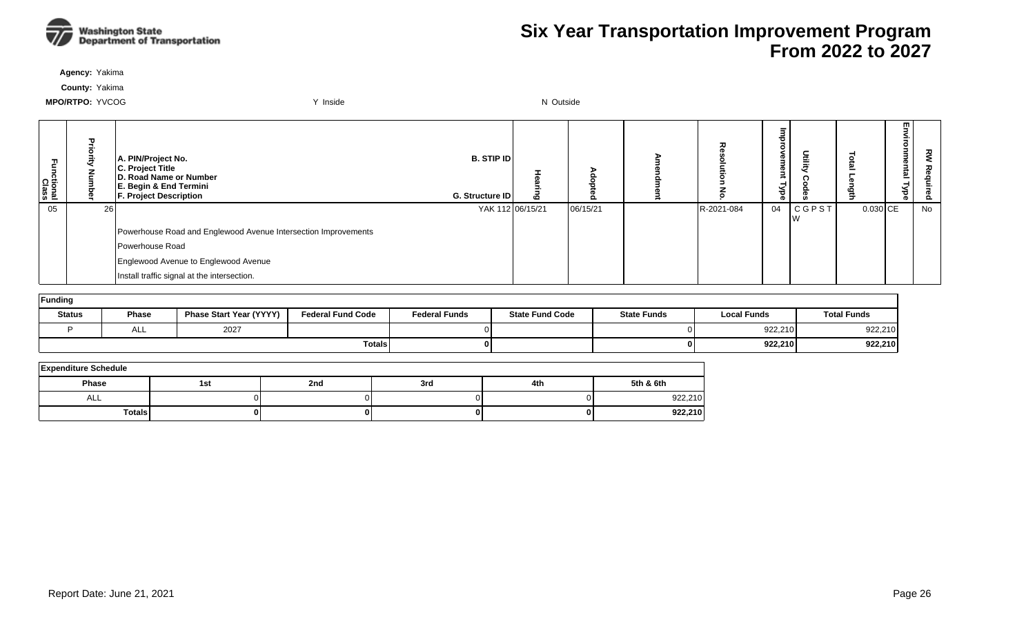

**Agency:** Yakima

**County:** Yakima

| ctional<br>Class |    | A. PIN/Project No.<br>C. Project Title<br>D. Road Name or Number<br>E. Begin & End Termini<br><b>F. Project Description</b> | <b>B. STIP IDI</b><br>G. Structure ID | $\mathbf{c}$ |          | 중          | Φ<br>g<br>శ<br>∩ on | Utility      |          | m<br><u>ត</u> | 짖<br><b>D</b><br>௨ |
|------------------|----|-----------------------------------------------------------------------------------------------------------------------------|---------------------------------------|--------------|----------|------------|---------------------|--------------|----------|---------------|--------------------|
| 05               | 26 |                                                                                                                             | YAK 112 06/15/21                      |              | 06/15/21 | R-2021-084 | $04$                | <b>CGPST</b> | 0.030 CE |               | No                 |
|                  |    | Powerhouse Road and Englewood Avenue Intersection Improvements                                                              |                                       |              |          |            |                     |              |          |               |                    |
|                  |    | Powerhouse Road                                                                                                             |                                       |              |          |            |                     |              |          |               |                    |
|                  |    | Englewood Avenue to Englewood Avenue                                                                                        |                                       |              |          |            |                     |              |          |               |                    |
|                  |    | Install traffic signal at the intersection.                                                                                 |                                       |              |          |            |                     |              |          |               |                    |

| Funding       |       |                                |                          |                      |                        |                    |                    |                    |  |  |  |  |
|---------------|-------|--------------------------------|--------------------------|----------------------|------------------------|--------------------|--------------------|--------------------|--|--|--|--|
| <b>Status</b> | Phase | <b>Phase Start Year (YYYY)</b> | <b>Federal Fund Code</b> | <b>Federal Funds</b> | <b>State Fund Code</b> | <b>State Funds</b> | <b>Local Funds</b> | <b>Total Funds</b> |  |  |  |  |
|               | ALL   | 2027                           |                          |                      |                        |                    | 922,210            | 922,210            |  |  |  |  |
|               |       |                                | <b>Totals</b>            |                      |                        |                    | 922,210            | 922,210            |  |  |  |  |

| <b>Expenditure Schedule</b> |     |     |     |     |           |  |  |  |  |  |
|-----------------------------|-----|-----|-----|-----|-----------|--|--|--|--|--|
| Phase                       | 1st | 2nd | 3rd | 4th | 5th & 6th |  |  |  |  |  |
| ALL                         |     |     |     |     | 922,210   |  |  |  |  |  |
| <b>Totals</b>               |     |     |     | 01  | 922,210   |  |  |  |  |  |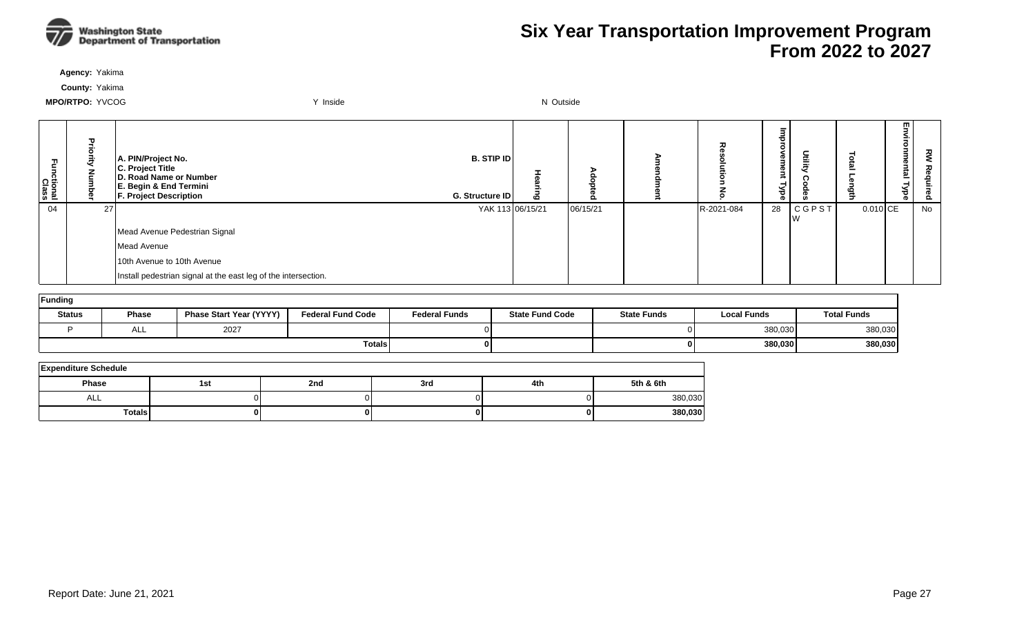

**Agency:** Yakima

**County:** Yakima

| 곤<br>ctional<br>Class |    | A. PIN/Project No.<br>C. Project Title<br>D. Road Name or Number<br>E. Begin & End Termini<br><b>F. Project Description</b> | <b>B. STIP ID</b><br>G. Structure ID | 6 |          | 고          | Utility<br>$\sigma$<br>Ê<br>Φ<br>≺<br>ह |            | ᇚ<br>5<br>=<br>⊣ | š<br>Φ<br>Õ. |
|-----------------------|----|-----------------------------------------------------------------------------------------------------------------------------|--------------------------------------|---|----------|------------|-----------------------------------------|------------|------------------|--------------|
| 04                    | 27 |                                                                                                                             | YAK 113 06/15/21                     |   | 06/15/21 | R-2021-084 | 28<br>  C G P S T                       | $0.010$ CE |                  | No           |
|                       |    | Mead Avenue Pedestrian Signal                                                                                               |                                      |   |          |            |                                         |            |                  |              |
|                       |    | Mead Avenue                                                                                                                 |                                      |   |          |            |                                         |            |                  |              |
|                       |    | 10th Avenue to 10th Avenue                                                                                                  |                                      |   |          |            |                                         |            |                  |              |
|                       |    | Install pedestrian signal at the east leg of the intersection.                                                              |                                      |   |          |            |                                         |            |                  |              |

| Funding       |              |                         |                          |                      |                        |                    |                    |                    |  |  |  |  |
|---------------|--------------|-------------------------|--------------------------|----------------------|------------------------|--------------------|--------------------|--------------------|--|--|--|--|
| <b>Status</b> | <b>Phase</b> | Phase Start Year (YYYY) | <b>Federal Fund Code</b> | <b>Federal Funds</b> | <b>State Fund Code</b> | <b>State Funds</b> | <b>Local Funds</b> | <b>Total Funds</b> |  |  |  |  |
|               | ALL          | 2027                    |                          |                      |                        |                    | 380,030            | 380,030            |  |  |  |  |
|               |              |                         | Totals                   |                      |                        |                    | 380,030            | 380,030            |  |  |  |  |

| <b>Expenditure Schedule</b> |     |     |     |     |           |  |  |  |  |  |  |
|-----------------------------|-----|-----|-----|-----|-----------|--|--|--|--|--|--|
| Phase                       | 1st | 2nd | 3rd | 4th | 5th & 6th |  |  |  |  |  |  |
| ALL                         |     |     |     |     | 380,030   |  |  |  |  |  |  |
| <b>Totals</b>               |     |     |     |     | 380,030   |  |  |  |  |  |  |